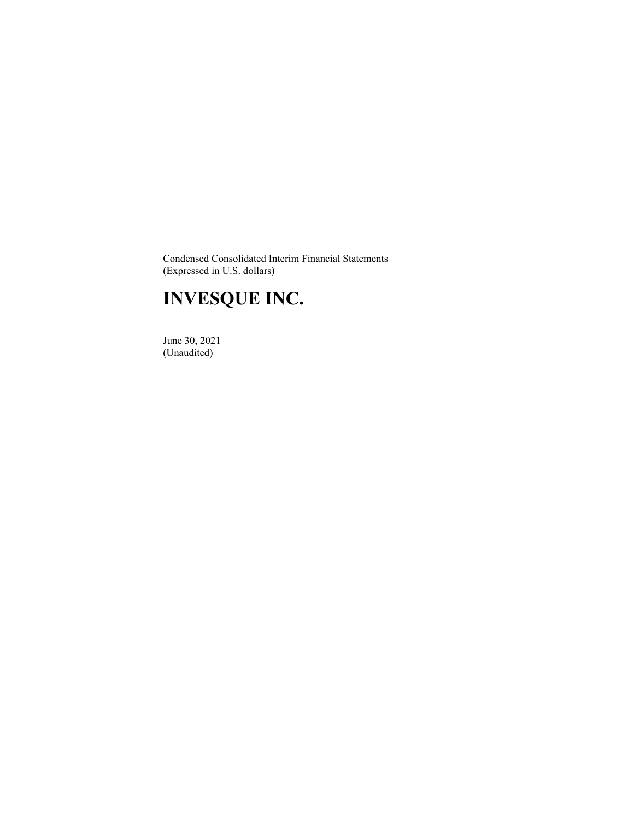Condensed Consolidated Interim Financial Statements (Expressed in U.S. dollars)

# **INVESQUE INC.**

 June 30, 2021 (Unaudited)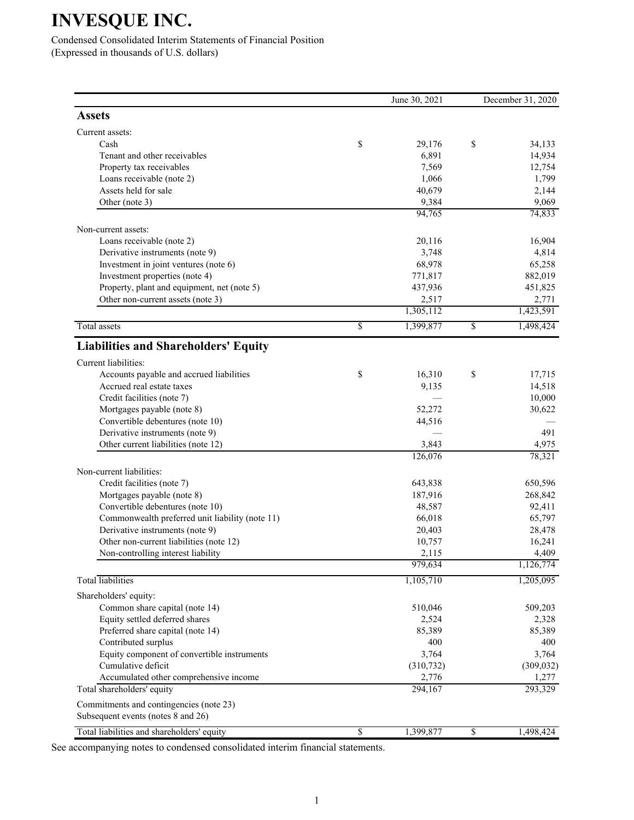Condensed Consolidated Interim Statements of Financial Position (Expressed in thousands of U.S. dollars)

|                                                                               |                 | June 30, 2021   | December 31, 2020 |
|-------------------------------------------------------------------------------|-----------------|-----------------|-------------------|
| <b>Assets</b>                                                                 |                 |                 |                   |
| Current assets:                                                               |                 |                 |                   |
| Cash                                                                          | \$              | 29,176          | \$<br>34,133      |
| Tenant and other receivables                                                  |                 | 6,891           | 14,934            |
| Property tax receivables                                                      |                 | 7,569           | 12,754            |
| Loans receivable (note 2)                                                     |                 | 1,066           | 1,799             |
| Assets held for sale                                                          |                 | 40,679          | 2,144             |
| Other (note 3)                                                                |                 | 9,384<br>94,765 | 9,069<br>74,833   |
| Non-current assets:                                                           |                 |                 |                   |
| Loans receivable (note 2)                                                     |                 | 20,116          | 16,904            |
| Derivative instruments (note 9)                                               |                 | 3,748           | 4,814             |
| Investment in joint ventures (note 6)                                         |                 | 68,978          | 65,258            |
| Investment properties (note 4)                                                |                 | 771,817         | 882,019           |
| Property, plant and equipment, net (note 5)                                   |                 | 437,936         | 451,825           |
| Other non-current assets (note 3)                                             |                 | 2,517           | 2,771             |
|                                                                               |                 | 1,305,112       | 1,423,591         |
| <b>Total</b> assets                                                           | $\overline{\$}$ | 1,399,877       | \$<br>1,498,424   |
| <b>Liabilities and Shareholders' Equity</b>                                   |                 |                 |                   |
| Current liabilities:                                                          |                 |                 |                   |
| Accounts payable and accrued liabilities                                      | \$              | 16,310          | \$<br>17,715      |
| Accrued real estate taxes                                                     |                 | 9,135           | 14,518            |
| Credit facilities (note 7)                                                    |                 |                 | 10,000            |
| Mortgages payable (note 8)                                                    |                 | 52,272          | 30,622            |
| Convertible debentures (note 10)                                              |                 | 44,516          |                   |
| Derivative instruments (note 9)                                               |                 |                 | 491               |
| Other current liabilities (note 12)                                           |                 | 3,843           | 4,975             |
|                                                                               |                 | 126,076         | 78,321            |
| Non-current liabilities:                                                      |                 |                 |                   |
| Credit facilities (note 7)                                                    |                 | 643,838         | 650,596           |
| Mortgages payable (note 8)                                                    |                 | 187,916         | 268,842           |
| Convertible debentures (note 10)                                              |                 | 48,587          | 92,411            |
| Commonwealth preferred unit liability (note 11)                               |                 | 66,018          | 65,797            |
| Derivative instruments (note 9)                                               |                 | 20,403          | 28,478            |
| Other non-current liabilities (note 12)                                       |                 | 10,757          | 16,241            |
| Non-controlling interest liability                                            |                 | 2,115           | 4,409             |
|                                                                               |                 | 979,634         | 1,126,774         |
| <b>Total</b> liabilities                                                      |                 | 1,105,710       | 1,205,095         |
| Shareholders' equity:                                                         |                 |                 |                   |
| Common share capital (note 14)                                                |                 | 510,046         | 509,203           |
| Equity settled deferred shares                                                |                 | 2,524           | 2,328             |
| Preferred share capital (note 14)                                             |                 | 85,389          | 85,389            |
| Contributed surplus                                                           |                 | 400             | 400               |
| Equity component of convertible instruments                                   |                 | 3,764           | 3,764             |
| Cumulative deficit                                                            |                 | (310, 732)      | (309, 032)        |
| Accumulated other comprehensive income                                        |                 | 2,776           | 1,277             |
| Total shareholders' equity                                                    |                 | 294,167         | 293,329           |
| Commitments and contingencies (note 23)<br>Subsequent events (notes 8 and 26) |                 |                 |                   |
|                                                                               |                 |                 |                   |
| Total liabilities and shareholders' equity                                    | $\overline{\$}$ | 1,399,877       | \$<br>1,498,424   |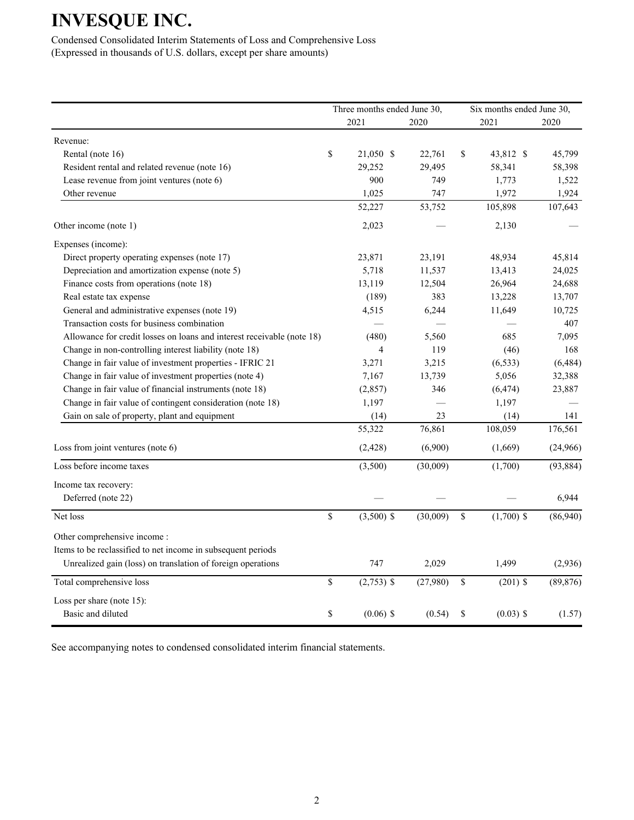Condensed Consolidated Interim Statements of Loss and Comprehensive Loss (Expressed in thousands of U.S. dollars, except per share amounts)

|                                                                        | Three months ended June 30, |          | Six months ended June 30, |           |  |
|------------------------------------------------------------------------|-----------------------------|----------|---------------------------|-----------|--|
|                                                                        | 2021                        | 2020     | 2021                      | 2020      |  |
| Revenue:                                                               |                             |          |                           |           |  |
| Rental (note 16)                                                       | \$<br>21,050 \$             | 22,761   | \$<br>43,812 \$           | 45,799    |  |
| Resident rental and related revenue (note 16)                          | 29,252                      | 29,495   | 58,341                    | 58,398    |  |
| Lease revenue from joint ventures (note 6)                             | 900                         | 749      | 1,773                     | 1,522     |  |
| Other revenue                                                          | 1,025                       | 747      | 1,972                     | 1,924     |  |
|                                                                        | 52,227                      | 53,752   | 105,898                   | 107,643   |  |
| Other income (note 1)                                                  | 2,023                       |          | 2,130                     |           |  |
| Expenses (income):                                                     |                             |          |                           |           |  |
| Direct property operating expenses (note 17)                           | 23,871                      | 23,191   | 48,934                    | 45,814    |  |
| Depreciation and amortization expense (note 5)                         | 5,718                       | 11,537   | 13,413                    | 24,025    |  |
| Finance costs from operations (note 18)                                | 13,119                      | 12,504   | 26,964                    | 24,688    |  |
| Real estate tax expense                                                | (189)                       | 383      | 13,228                    | 13,707    |  |
| General and administrative expenses (note 19)                          | 4,515                       | 6,244    | 11,649                    | 10,725    |  |
| Transaction costs for business combination                             |                             |          |                           | 407       |  |
| Allowance for credit losses on loans and interest receivable (note 18) | (480)                       | 5,560    | 685                       | 7,095     |  |
| Change in non-controlling interest liability (note 18)                 | 4                           | 119      | (46)                      | 168       |  |
| Change in fair value of investment properties - IFRIC 21               | 3,271                       | 3,215    | (6, 533)                  | (6, 484)  |  |
| Change in fair value of investment properties (note 4)                 | 7,167                       | 13,739   | 5,056                     | 32,388    |  |
| Change in fair value of financial instruments (note 18)                | (2, 857)                    | 346      | (6, 474)                  | 23,887    |  |
| Change in fair value of contingent consideration (note 18)             | 1,197                       |          | 1,197                     |           |  |
| Gain on sale of property, plant and equipment                          | (14)                        | 23       | (14)                      | 141       |  |
|                                                                        | 55,322                      | 76,861   | 108,059                   | 176,561   |  |
| Loss from joint ventures (note 6)                                      | (2, 428)                    | (6,900)  | (1,669)                   | (24,966)  |  |
| Loss before income taxes                                               | (3,500)                     | (30,009) | (1,700)                   | (93, 884) |  |
| Income tax recovery:                                                   |                             |          |                           |           |  |
| Deferred (note 22)                                                     |                             |          |                           | 6,944     |  |
| Net loss                                                               | \$<br>$(3,500)$ \$          | (30,009) | \$<br>$(1,700)$ \$        | (86,940)  |  |
| Other comprehensive income:                                            |                             |          |                           |           |  |
| Items to be reclassified to net income in subsequent periods           |                             |          |                           |           |  |
| Unrealized gain (loss) on translation of foreign operations            | 747                         | 2,029    | 1,499                     | (2,936)   |  |
| Total comprehensive loss                                               | \$<br>$(2,753)$ \$          | (27,980) | \$<br>$(201)$ \$          | (89, 876) |  |
| Loss per share (note 15):                                              |                             |          |                           |           |  |
| Basic and diluted                                                      | \$<br>$(0.06)$ \$           | (0.54)   | \$<br>$(0.03)$ \$         | (1.57)    |  |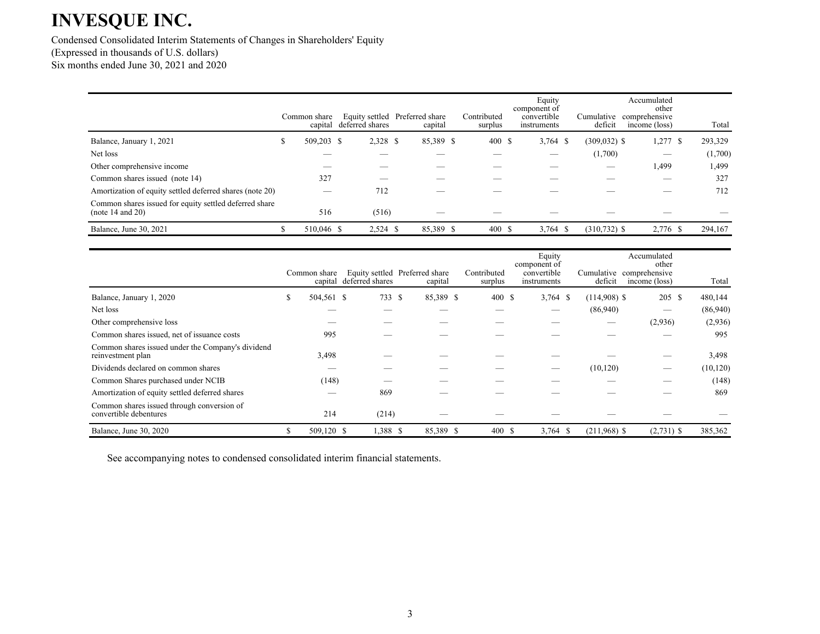Condensed Consolidated Interim Statements of Changes in Shareholders' Equity (Expressed in thousands of U.S. dollars) Six months ended June 30, 2021 and 2020

|                                                                            |    | Common share<br>capital | deferred shares | Equity settled Preferred share<br>capital | Contributed | surplus | Equity<br>component of<br>convertible<br>instruments | Cumulative<br>deficit | Accumulated<br>other<br>comprehensive<br>income (loss) | Total   |
|----------------------------------------------------------------------------|----|-------------------------|-----------------|-------------------------------------------|-------------|---------|------------------------------------------------------|-----------------------|--------------------------------------------------------|---------|
| Balance, January 1, 2021                                                   | S. | 509,203 \$              | 2,328 \$        | 85,389 \$                                 |             | 400S    | $3,764$ \$                                           | $(309, 032)$ \$       | $1,277$ \$                                             | 293,329 |
| Net loss                                                                   |    |                         |                 |                                           |             |         | __                                                   | (1,700)               | –                                                      | (1,700) |
| Other comprehensive income                                                 |    | __                      |                 |                                           |             |         |                                                      |                       | 1,499                                                  | ,499    |
| Common shares issued (note 14)                                             |    | 327                     |                 |                                           |             |         |                                                      |                       |                                                        | 327     |
| Amortization of equity settled deferred shares (note 20)                   |    |                         | 712             |                                           |             |         |                                                      |                       |                                                        | 712     |
| Common shares issued for equity settled deferred share<br>(note 14 and 20) |    | 516                     | (516)           |                                           |             |         |                                                      |                       |                                                        |         |
| Balance, June 30, 2021                                                     |    | 510,046 \$              | $2,524$ \$      | 85,389 \$                                 |             | 400S    | $3,764$ \$                                           | $(310, 732)$ \$       | 2,776 \$                                               | 294,167 |

|                                                                        |   | Common share | capital deferred shares | Equity settled Preferred share<br>capital | Contributed<br>surplus | Equity<br>component of<br>convertible<br>instruments | deficit                     | Accumulated<br>other<br>Cumulative comprehensive<br>income (loss) | Total     |
|------------------------------------------------------------------------|---|--------------|-------------------------|-------------------------------------------|------------------------|------------------------------------------------------|-----------------------------|-------------------------------------------------------------------|-----------|
| Balance, January 1, 2020                                               | S | 504,561 \$   | 733                     | 85,389 \$<br>-S                           | 400 \$                 | $3,764$ \$                                           | $(114,908)$ \$              | 205 \$                                                            | 480,144   |
| Net loss                                                               |   |              |                         |                                           |                        |                                                      | (86,940)                    |                                                                   | (86,940)  |
| Other comprehensive loss                                               |   |              |                         |                                           |                        |                                                      | $\overbrace{\hspace{15em}}$ | (2,936)                                                           | (2,936)   |
| Common shares issued, net of issuance costs                            |   | 995          |                         |                                           |                        |                                                      |                             |                                                                   | 995       |
| Common shares issued under the Company's dividend<br>reinvestment plan |   | 3,498        |                         |                                           |                        |                                                      |                             |                                                                   | 3,498     |
| Dividends declared on common shares                                    |   |              |                         |                                           |                        | —                                                    | (10, 120)                   | –                                                                 | (10, 120) |
| Common Shares purchased under NCIB                                     |   | (148)        |                         |                                           |                        |                                                      |                             |                                                                   | (148)     |
| Amortization of equity settled deferred shares                         |   |              | 869                     |                                           |                        |                                                      |                             |                                                                   | 869       |
| Common shares issued through conversion of<br>convertible debentures   |   | 214          | (214)                   |                                           |                        |                                                      |                             |                                                                   |           |
| Balance, June 30, 2020                                                 | S | 509,120 \$   | 1,388 \$                | 85,389 \$                                 | 400 \$                 | $3,764$ \$                                           | $(211.968)$ \$              | $(2,731)$ \$                                                      | 385,362   |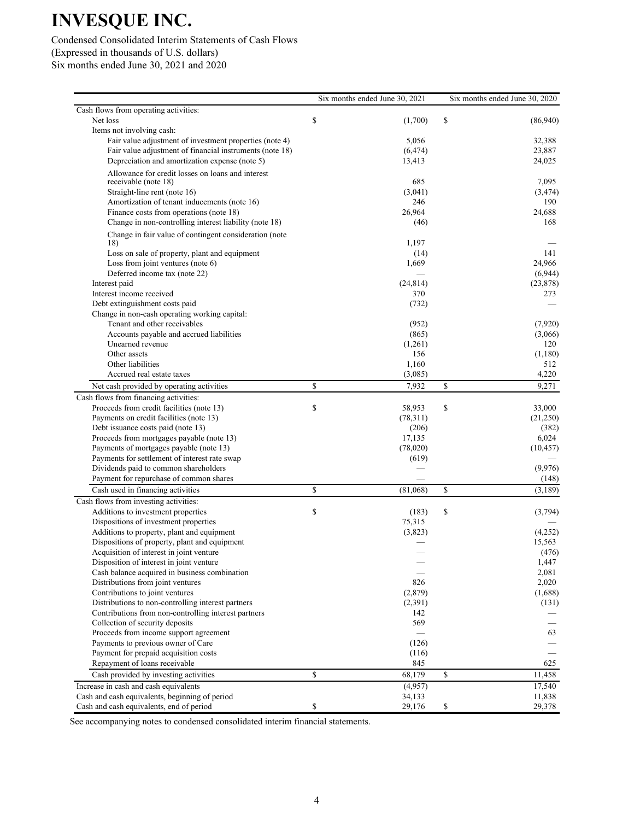## Condensed Consolidated Interim Statements of Cash Flows (Expressed in thousands of U.S. dollars)

Six months ended June 30, 2021 and 2020

|                                                          | Six months ended June 30, 2021 | Six months ended June 30, 2020 |           |
|----------------------------------------------------------|--------------------------------|--------------------------------|-----------|
| Cash flows from operating activities:                    |                                |                                |           |
| Net loss                                                 | \$<br>(1,700)                  | \$                             | (86,940)  |
| Items not involving cash:                                |                                |                                |           |
| Fair value adjustment of investment properties (note 4)  | 5,056                          |                                | 32,388    |
| Fair value adjustment of financial instruments (note 18) | (6, 474)                       |                                | 23,887    |
| Depreciation and amortization expense (note 5)           | 13,413                         |                                | 24,025    |
| Allowance for credit losses on loans and interest        |                                |                                |           |
| receivable (note 18)                                     | 685                            |                                | 7,095     |
| Straight-line rent (note 16)                             | (3,041)                        |                                | (3, 474)  |
| Amortization of tenant inducements (note 16)             | 246                            |                                | 190       |
| Finance costs from operations (note 18)                  | 26,964                         |                                | 24,688    |
| Change in non-controlling interest liability (note 18)   | (46)                           |                                | 168       |
| Change in fair value of contingent consideration (note   |                                |                                |           |
| 18)                                                      | 1,197                          |                                |           |
| Loss on sale of property, plant and equipment            | (14)                           |                                | 141       |
| Loss from joint ventures (note 6)                        | 1,669                          |                                | 24,966    |
| Deferred income tax (note 22)                            |                                |                                | (6,944)   |
| Interest paid                                            | (24, 814)                      |                                | (23, 878) |
| Interest income received                                 | 370                            |                                | 273       |
| Debt extinguishment costs paid                           | (732)                          |                                |           |
| Change in non-cash operating working capital:            |                                |                                |           |
| Tenant and other receivables                             | (952)                          |                                | (7,920)   |
| Accounts payable and accrued liabilities                 | (865)                          |                                | (3,066)   |
| Unearned revenue                                         | (1,261)                        |                                | 120       |
| Other assets                                             | 156                            |                                | (1,180)   |
| Other liabilities                                        | 1,160                          |                                | 512       |
| Accrued real estate taxes                                | (3,085)                        |                                | 4,220     |
| Net cash provided by operating activities                | \$<br>7,932                    | \$                             | 9,271     |
| Cash flows from financing activities:                    |                                |                                |           |
| Proceeds from credit facilities (note 13)                | \$<br>58,953                   | \$                             | 33,000    |
| Payments on credit facilities (note 13)                  | (78,311)                       |                                | (21,250)  |
| Debt issuance costs paid (note 13)                       | (206)                          |                                | (382)     |
| Proceeds from mortgages payable (note 13)                | 17,135                         |                                | 6,024     |
| Payments of mortgages payable (note 13)                  | (78,020)                       |                                | (10, 457) |
| Payments for settlement of interest rate swap            | (619)                          |                                |           |
| Dividends paid to common shareholders                    |                                |                                | (9,976)   |
| Payment for repurchase of common shares                  |                                |                                | (148)     |
| Cash used in financing activities                        | \$<br>(81,068)                 | \$                             | (3,189)   |
| Cash flows from investing activities:                    |                                |                                |           |
| Additions to investment properties                       | \$<br>(183)                    | \$                             | (3,794)   |
| Dispositions of investment properties                    | 75,315                         |                                |           |
| Additions to property, plant and equipment               | (3,823)                        |                                | (4,252)   |
| Dispositions of property, plant and equipment            |                                |                                | 15,563    |
| Acquisition of interest in joint venture                 |                                |                                | (476)     |
| Disposition of interest in joint venture                 |                                |                                | 1,447     |
| Cash balance acquired in business combination            |                                |                                | 2,081     |
| Distributions from joint ventures                        | 826                            |                                | 2,020     |
| Contributions to joint ventures                          | (2,879)                        |                                | (1,688)   |
| Distributions to non-controlling interest partners       | (2,391)                        |                                | (131)     |
| Contributions from non-controlling interest partners     | 142                            |                                |           |
| Collection of security deposits                          | 569                            |                                |           |
| Proceeds from income support agreement                   |                                |                                | 63        |
| Payments to previous owner of Care                       | (126)                          |                                |           |
| Payment for prepaid acquisition costs                    | (116)                          |                                |           |
| Repayment of loans receivable                            | 845                            |                                | 625       |
| Cash provided by investing activities                    | \$<br>68,179                   | \$                             | 11,458    |
| Increase in cash and cash equivalents                    | (4,957)                        |                                | 17,540    |
| Cash and cash equivalents, beginning of period           | 34,133                         |                                | 11,838    |
| Cash and cash equivalents, end of period                 | \$<br>29,176                   | \$                             | 29,378    |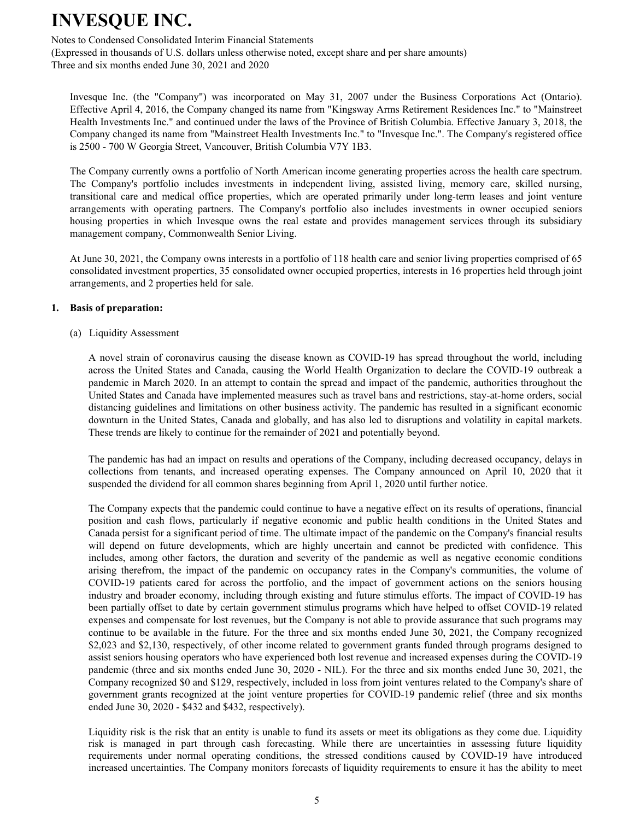Notes to Condensed Consolidated Interim Financial Statements

(Expressed in thousands of U.S. dollars unless otherwise noted, except share and per share amounts) Three and six months ended June 30, 2021 and 2020

Invesque Inc. (the "Company") was incorporated on May 31, 2007 under the Business Corporations Act (Ontario). Effective April 4, 2016, the Company changed its name from "Kingsway Arms Retirement Residences Inc." to "Mainstreet Health Investments Inc." and continued under the laws of the Province of British Columbia. Effective January 3, 2018, the Company changed its name from "Mainstreet Health Investments Inc." to "Invesque Inc.". The Company's registered office is 2500 - 700 W Georgia Street, Vancouver, British Columbia V7Y 1B3.

The Company currently owns a portfolio of North American income generating properties across the health care spectrum. The Company's portfolio includes investments in independent living, assisted living, memory care, skilled nursing, transitional care and medical office properties, which are operated primarily under long-term leases and joint venture arrangements with operating partners. The Company's portfolio also includes investments in owner occupied seniors housing properties in which Invesque owns the real estate and provides management services through its subsidiary management company, Commonwealth Senior Living.

At June 30, 2021, the Company owns interests in a portfolio of 118 health care and senior living properties comprised of 65 consolidated investment properties, 35 consolidated owner occupied properties, interests in 16 properties held through joint arrangements, and 2 properties held for sale.

#### **1. Basis of preparation:**

(a) Liquidity Assessment

A novel strain of coronavirus causing the disease known as COVID-19 has spread throughout the world, including across the United States and Canada, causing the World Health Organization to declare the COVID-19 outbreak a pandemic in March 2020. In an attempt to contain the spread and impact of the pandemic, authorities throughout the United States and Canada have implemented measures such as travel bans and restrictions, stay-at-home orders, social distancing guidelines and limitations on other business activity. The pandemic has resulted in a significant economic downturn in the United States, Canada and globally, and has also led to disruptions and volatility in capital markets. These trends are likely to continue for the remainder of 2021 and potentially beyond.

The pandemic has had an impact on results and operations of the Company, including decreased occupancy, delays in collections from tenants, and increased operating expenses. The Company announced on April 10, 2020 that it suspended the dividend for all common shares beginning from April 1, 2020 until further notice.

The Company expects that the pandemic could continue to have a negative effect on its results of operations, financial position and cash flows, particularly if negative economic and public health conditions in the United States and Canada persist for a significant period of time. The ultimate impact of the pandemic on the Company's financial results will depend on future developments, which are highly uncertain and cannot be predicted with confidence. This includes, among other factors, the duration and severity of the pandemic as well as negative economic conditions arising therefrom, the impact of the pandemic on occupancy rates in the Company's communities, the volume of COVID-19 patients cared for across the portfolio, and the impact of government actions on the seniors housing industry and broader economy, including through existing and future stimulus efforts. The impact of COVID-19 has been partially offset to date by certain government stimulus programs which have helped to offset COVID-19 related expenses and compensate for lost revenues, but the Company is not able to provide assurance that such programs may continue to be available in the future. For the three and six months ended June 30, 2021, the Company recognized \$2,023 and \$2,130, respectively, of other income related to government grants funded through programs designed to assist seniors housing operators who have experienced both lost revenue and increased expenses during the COVID-19 pandemic (three and six months ended June 30, 2020 - NIL). For the three and six months ended June 30, 2021, the Company recognized \$0 and \$129, respectively, included in loss from joint ventures related to the Company's share of government grants recognized at the joint venture properties for COVID-19 pandemic relief (three and six months ended June 30, 2020 - \$432 and \$432, respectively).

Liquidity risk is the risk that an entity is unable to fund its assets or meet its obligations as they come due. Liquidity risk is managed in part through cash forecasting. While there are uncertainties in assessing future liquidity requirements under normal operating conditions, the stressed conditions caused by COVID-19 have introduced increased uncertainties. The Company monitors forecasts of liquidity requirements to ensure it has the ability to meet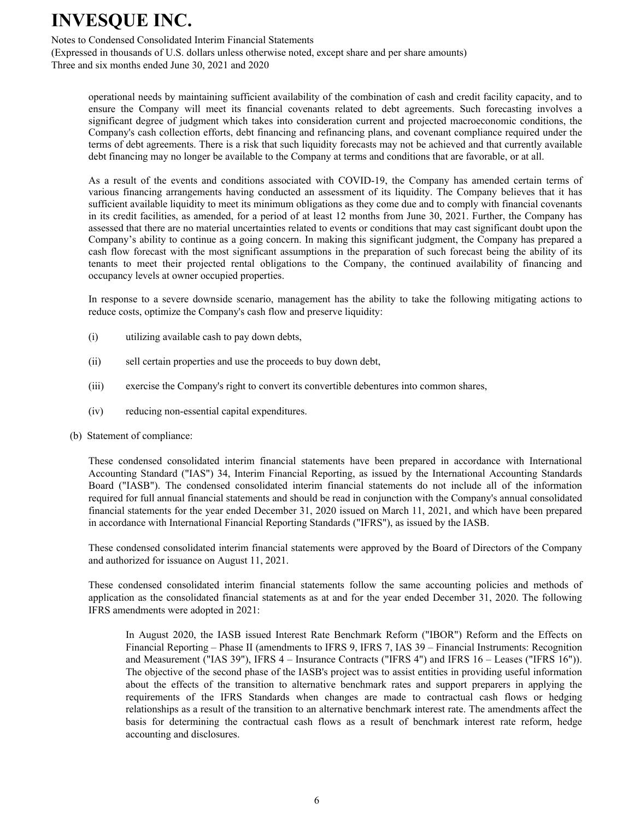Notes to Condensed Consolidated Interim Financial Statements

(Expressed in thousands of U.S. dollars unless otherwise noted, except share and per share amounts) Three and six months ended June 30, 2021 and 2020

operational needs by maintaining sufficient availability of the combination of cash and credit facility capacity, and to ensure the Company will meet its financial covenants related to debt agreements. Such forecasting involves a significant degree of judgment which takes into consideration current and projected macroeconomic conditions, the Company's cash collection efforts, debt financing and refinancing plans, and covenant compliance required under the terms of debt agreements. There is a risk that such liquidity forecasts may not be achieved and that currently available debt financing may no longer be available to the Company at terms and conditions that are favorable, or at all.

As a result of the events and conditions associated with COVID-19, the Company has amended certain terms of various financing arrangements having conducted an assessment of its liquidity. The Company believes that it has sufficient available liquidity to meet its minimum obligations as they come due and to comply with financial covenants in its credit facilities, as amended, for a period of at least 12 months from June 30, 2021. Further, the Company has assessed that there are no material uncertainties related to events or conditions that may cast significant doubt upon the Company's ability to continue as a going concern. In making this significant judgment, the Company has prepared a cash flow forecast with the most significant assumptions in the preparation of such forecast being the ability of its tenants to meet their projected rental obligations to the Company, the continued availability of financing and occupancy levels at owner occupied properties.

In response to a severe downside scenario, management has the ability to take the following mitigating actions to reduce costs, optimize the Company's cash flow and preserve liquidity:

- (i) utilizing available cash to pay down debts,
- (ii) sell certain properties and use the proceeds to buy down debt,
- (iii) exercise the Company's right to convert its convertible debentures into common shares,
- (iv) reducing non-essential capital expenditures.
- (b) Statement of compliance:

These condensed consolidated interim financial statements have been prepared in accordance with International Accounting Standard ("IAS") 34, Interim Financial Reporting, as issued by the International Accounting Standards Board ("IASB"). The condensed consolidated interim financial statements do not include all of the information required for full annual financial statements and should be read in conjunction with the Company's annual consolidated financial statements for the year ended December 31, 2020 issued on March 11, 2021, and which have been prepared in accordance with International Financial Reporting Standards ("IFRS"), as issued by the IASB.

These condensed consolidated interim financial statements were approved by the Board of Directors of the Company and authorized for issuance on August 11, 2021.

These condensed consolidated interim financial statements follow the same accounting policies and methods of application as the consolidated financial statements as at and for the year ended December 31, 2020. The following IFRS amendments were adopted in 2021:

In August 2020, the IASB issued Interest Rate Benchmark Reform ("IBOR") Reform and the Effects on Financial Reporting – Phase II (amendments to IFRS 9, IFRS 7, IAS 39 – Financial Instruments: Recognition and Measurement ("IAS 39"), IFRS 4 – Insurance Contracts ("IFRS 4") and IFRS 16 – Leases ("IFRS 16")). The objective of the second phase of the IASB's project was to assist entities in providing useful information about the effects of the transition to alternative benchmark rates and support preparers in applying the requirements of the IFRS Standards when changes are made to contractual cash flows or hedging relationships as a result of the transition to an alternative benchmark interest rate. The amendments affect the basis for determining the contractual cash flows as a result of benchmark interest rate reform, hedge accounting and disclosures.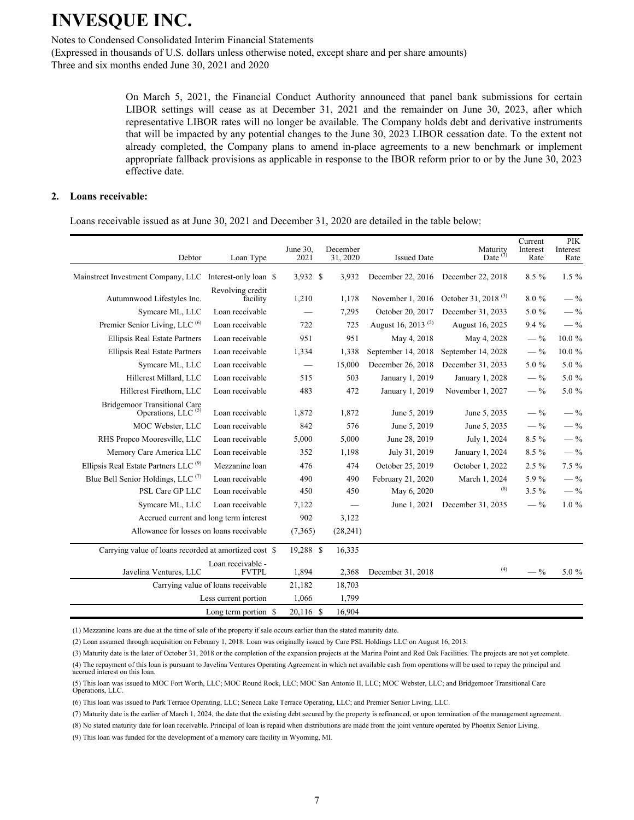Notes to Condensed Consolidated Interim Financial Statements

(Expressed in thousands of U.S. dollars unless otherwise noted, except share and per share amounts) Three and six months ended June 30, 2021 and 2020

> On March 5, 2021, the Financial Conduct Authority announced that panel bank submissions for certain LIBOR settings will cease as at December 31, 2021 and the remainder on June 30, 2023, after which representative LIBOR rates will no longer be available. The Company holds debt and derivative instruments that will be impacted by any potential changes to the June 30, 2023 LIBOR cessation date. To the extent not already completed, the Company plans to amend in-place agreements to a new benchmark or implement appropriate fallback provisions as applicable in response to the IBOR reform prior to or by the June 30, 2023 effective date.

#### **2. Loans receivable:**

Loans receivable issued as at June 30, 2021 and December 31, 2020 are detailed in the table below:

| Debtor                                                | Loan Type                          | June 30,<br>2021 | December<br>31, 2020 | <b>Issued Date</b>             | Maturity<br>Date $(1)$          | Current<br>Interest<br>Rate | <b>PIK</b><br>Interest<br>Rate |
|-------------------------------------------------------|------------------------------------|------------------|----------------------|--------------------------------|---------------------------------|-----------------------------|--------------------------------|
| Mainstreet Investment Company, LLC                    | Interest-only loan \$              | 3,932 \$         | 3,932                | December 22, 2016              | December 22, 2018               | $8.5\%$                     | $1.5\%$                        |
| Autumnwood Lifestyles Inc.                            | Revolving credit<br>facility       | 1,210            | 1,178                | November 1, 2016               | October 31, 2018 <sup>(3)</sup> | 8.0%                        | $-$ %                          |
| Symcare ML, LLC                                       | Loan receivable                    |                  | 7,295                | October 20, 2017               | December 31, 2033               | 5.0 $%$                     | $-$ %                          |
| Premier Senior Living, LLC <sup>(6)</sup>             | Loan receivable                    | 722              | 725                  | August 16, 2013 <sup>(2)</sup> | August 16, 2025                 | 9.4%                        | $-$ %                          |
| Ellipsis Real Estate Partners                         | Loan receivable                    | 951              | 951                  | May 4, 2018                    | May 4, 2028                     | $-$ %                       | $10.0 \%$                      |
| <b>Ellipsis Real Estate Partners</b>                  | Loan receivable                    | 1,334            | 1,338                | September 14, 2018             | September 14, 2028              | $-$ %                       | 10.0%                          |
| Symcare ML, LLC                                       | Loan receivable                    |                  | 15,000               | December 26, 2018              | December 31, 2033               | 5.0 %                       | 5.0 %                          |
| Hillcrest Millard, LLC                                | Loan receivable                    | 515              | 503                  | January 1, 2019                | January 1, 2028                 | $-$ %                       | 5.0 %                          |
| Hillcrest Firethorn, LLC                              | Loan receivable                    | 483              | 472                  | January 1, 2019                | November 1, 2027                | $-$ %                       | 5.0 %                          |
| <b>Bridgemoor Transitional Care</b>                   |                                    |                  |                      |                                |                                 |                             |                                |
| Operations, LLC <sup>(5)</sup>                        | Loan receivable                    | 1,872            | 1,872                | June 5, 2019                   | June 5, 2035                    | $-$ %                       | $-$ %                          |
| MOC Webster, LLC                                      | Loan receivable                    | 842              | 576                  | June 5, 2019                   | June 5, 2035                    | $-$ %                       | $-$ %                          |
| RHS Propco Mooresville, LLC                           | Loan receivable                    | 5,000            | 5,000                | June 28, 2019                  | July 1, 2024                    | 8.5 %                       | $-$ %                          |
| Memory Care America LLC                               | Loan receivable                    | 352              | 1,198                | July 31, 2019                  | January 1, 2024                 | 8.5 %                       | $-$ %                          |
| Ellipsis Real Estate Partners LLC <sup>(9)</sup>      | Mezzanine loan                     | 476              | 474                  | October 25, 2019               | October 1, 2022                 | $2.5 \%$                    | 7.5%                           |
| Blue Bell Senior Holdings, LLC $(7)$                  | Loan receivable                    | 490              | 490                  | February 21, 2020              | March 1, 2024                   | 5.9 %                       | $-$ %                          |
| PSL Care GP LLC                                       | Loan receivable                    | 450              | 450                  | May 6, 2020                    | (8)                             | $3.5 \%$                    | $-$ %                          |
| Symcare ML, LLC                                       | Loan receivable                    | 7,122            |                      | June 1, 2021                   | December 31, 2035               | $-$ %                       | $1.0\%$                        |
| Accrued current and long term interest                |                                    | 902              | 3,122                |                                |                                 |                             |                                |
| Allowance for losses on loans receivable              |                                    | (7,365)          | (28, 241)            |                                |                                 |                             |                                |
| Carrying value of loans recorded at amortized cost \$ |                                    | 19,288 \$        | 16,335               |                                |                                 |                             |                                |
| Javelina Ventures, LLC                                | Loan receivable -<br><b>FVTPL</b>  | 1,894            | 2,368                | December 31, 2018              | (4)                             | $-$ %                       | 5.0 %                          |
|                                                       | Carrying value of loans receivable | 21,182           | 18,703               |                                |                                 |                             |                                |
|                                                       | Less current portion               | 1,066            | 1,799                |                                |                                 |                             |                                |
|                                                       | Long term portion \$               | 20,116 \$        | 16,904               |                                |                                 |                             |                                |

(1) Mezzanine loans are due at the time of sale of the property if sale occurs earlier than the stated maturity date.

(2) Loan assumed through acquisition on February 1, 2018. Loan was originally issued by Care PSL Holdings LLC on August 16, 2013.

(3) Maturity date is the later of October 31, 2018 or the completion of the expansion projects at the Marina Point and Red Oak Facilities. The projects are not yet complete.

(4) The repayment of this loan is pursuant to Javelina Ventures Operating Agreement in which net available cash from operations will be used to repay the principal and accrued interest on this loan.

(5) This loan was issued to MOC Fort Worth, LLC; MOC Round Rock, LLC; MOC San Antonio II, LLC; MOC Webster, LLC; and Bridgemoor Transitional Care Operations, LLC.

(6) This loan was issued to Park Terrace Operating, LLC; Seneca Lake Terrace Operating, LLC; and Premier Senior Living, LLC.

(7) Maturity date is the earlier of March 1, 2024, the date that the existing debt secured by the property is refinanced, or upon termination of the management agreement.

(8) No stated maturity date for loan receivable. Principal of loan is repaid when distributions are made from the joint venture operated by Phoenix Senior Living.

(9) This loan was funded for the development of a memory care facility in Wyoming, MI.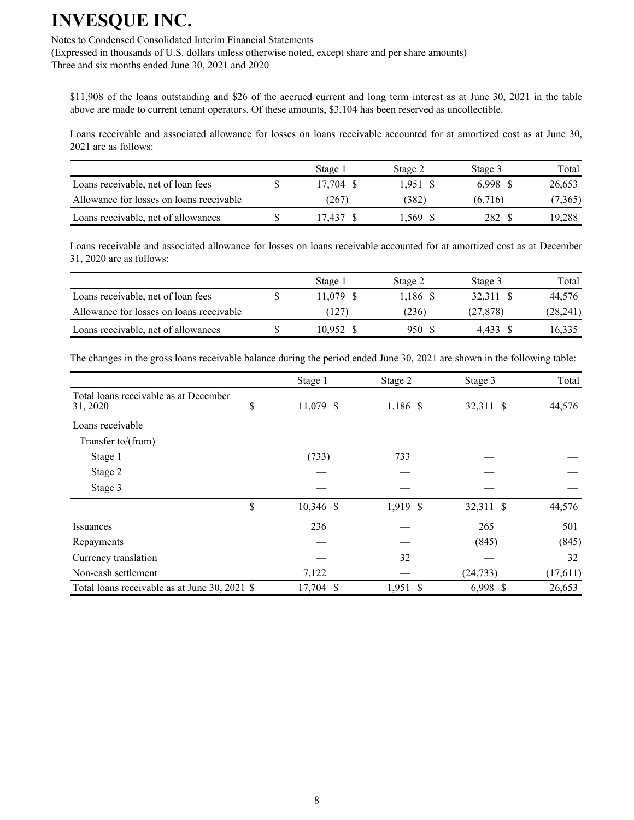Notes to Condensed Consolidated Interim Financial Statements

(Expressed in thousands of U.S. dollars unless otherwise noted, except share and per share amounts) Three and six months ended June 30, 2021 and 2020

\$11,908 of the loans outstanding and \$26 of the accrued current and long term interest as at June 30, 2021 in the table above are made to current tenant operators. Of these amounts, \$3,104 has been reserved as uncollectible.

Loans receivable and associated allowance for losses on loans receivable accounted for at amortized cost as at June 30, 2021 are as follows:

|                                          | Stage 1   | Stage 2 | Stage 3  | Total   |
|------------------------------------------|-----------|---------|----------|---------|
| Loans receivable, net of loan fees       | 17.704 \$ | 1.951 S | 6.998 \$ | 26,653  |
| Allowance for losses on loans receivable | (267      | (382)   | (6,716)  | (7,365) |
| Loans receivable, net of allowances      | 7.437     | .569 S  | 282.     | 19,288  |

Loans receivable and associated allowance for losses on loans receivable accounted for at amortized cost as at December 31, 2020 are as follows:

|                                          | Stage 1     | Stage 2  | Stage 3   | Total     |
|------------------------------------------|-------------|----------|-----------|-----------|
| Loans receivable, net of loan fees       | $11.079$ \$ | 1.186 \$ | 32.311 \$ | 44.576    |
| Allowance for losses on loans receivable | (127)       | (236)    | (27, 878) | (28, 241) |
| Loans receivable, net of allowances      | 10.952 \$   | 950 S    | 4.433     | 16.335    |

The changes in the gross loans receivable balance during the period ended June 30, 2021 are shown in the following table:

|                                                   | Stage 1           | Stage 2    | Stage 3   | Total    |
|---------------------------------------------------|-------------------|------------|-----------|----------|
| Total loans receivable as at December<br>31, 2020 | \$<br>11,079 \$   | 1,186 \$   | 32,311 \$ | 44,576   |
| Loans receivable                                  |                   |            |           |          |
| Transfer to/(from)                                |                   |            |           |          |
| Stage 1                                           | (733)             | 733        |           |          |
| Stage 2                                           |                   |            |           |          |
| Stage 3                                           |                   |            |           |          |
|                                                   | \$<br>$10,346$ \$ | 1,919 \$   | 32,311 \$ | 44,576   |
| <b>Issuances</b>                                  | 236               |            | 265       | 501      |
| Repayments                                        |                   |            | (845)     | (845)    |
| Currency translation                              |                   | 32         |           | 32       |
| Non-cash settlement                               | 7,122             |            | (24, 733) | (17,611) |
| Total loans receivable as at June 30, 2021 \$     | 17,704 \$         | $1,951$ \$ | 6,998 \$  | 26,653   |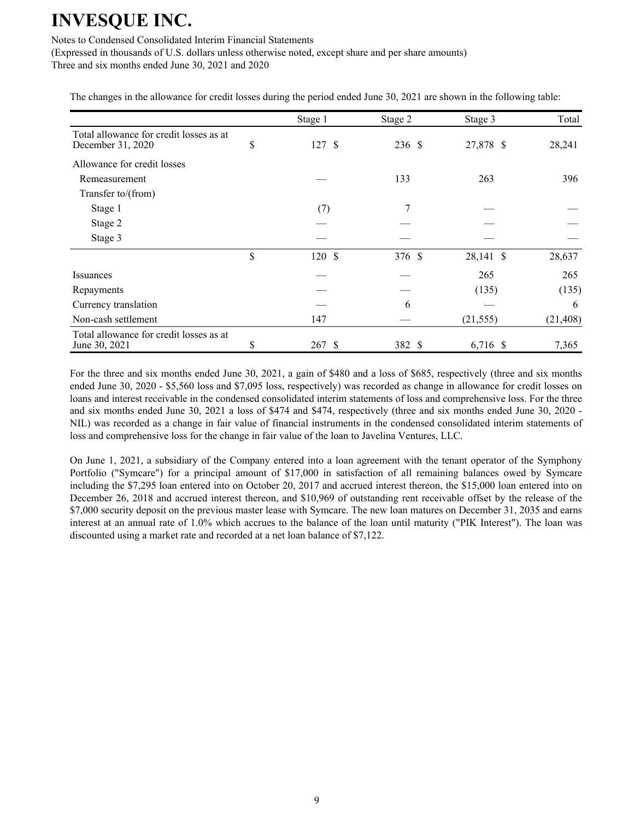#### Notes to Condensed Consolidated Interim Financial Statements

(Expressed in thousands of U.S. dollars unless otherwise noted, except share and per share amounts) Three and six months ended June 30, 2021 and 2020

The changes in the allowance for credit losses during the period ended June 30, 2021 are shown in the following table:

|                                                              | Stage 1      | Stage 2 | Stage 3   | Total     |
|--------------------------------------------------------------|--------------|---------|-----------|-----------|
| Total allowance for credit losses as at<br>December 31, 2020 | \$<br>127S   | 236 \$  | 27,878 \$ | 28,241    |
| Allowance for credit losses                                  |              |         |           |           |
| Remeasurement                                                |              | 133     | 263       | 396       |
| Transfer to/(from)                                           |              |         |           |           |
| Stage 1                                                      | (7)          | 7       |           |           |
| Stage 2                                                      |              |         |           |           |
| Stage 3                                                      |              |         |           |           |
|                                                              | \$<br>120S   | 376 \$  | 28,141 \$ | 28,637    |
| Issuances                                                    |              |         | 265       | 265       |
| Repayments                                                   |              |         | (135)     | (135)     |
| Currency translation                                         |              | 6       |           | 6         |
| Non-cash settlement                                          | 147          |         | (21, 555) | (21, 408) |
| Total allowance for credit losses as at<br>June 30, 2021     | \$<br>267 \$ | 382 \$  | 6,716 \$  | 7,365     |

For the three and six months ended June 30, 2021, a gain of \$480 and a loss of \$685, respectively (three and six months ended June 30, 2020 - \$5,560 loss and \$7,095 loss, respectively) was recorded as change in allowance for credit losses on loans and interest receivable in the condensed consolidated interim statements of loss and comprehensive loss. For the three and six months ended June 30, 2021 a loss of \$474 and \$474, respectively (three and six months ended June 30, 2020 - NIL) was recorded as a change in fair value of financial instruments in the condensed consolidated interim statements of loss and comprehensive loss for the change in fair value of the loan to Javelina Ventures, LLC.

On June 1, 2021, a subsidiary of the Company entered into a loan agreement with the tenant operator of the Symphony Portfolio ("Symcare") for a principal amount of \$17,000 in satisfaction of all remaining balances owed by Symcare including the \$7,295 loan entered into on October 20, 2017 and accrued interest thereon, the \$15,000 loan entered into on December 26, 2018 and accrued interest thereon, and \$10,969 of outstanding rent receivable offset by the release of the \$7,000 security deposit on the previous master lease with Symcare. The new loan matures on December 31, 2035 and earns interest at an annual rate of 1.0% which accrues to the balance of the loan until maturity ("PIK Interest"). The loan was discounted using a market rate and recorded at a net loan balance of \$7,122.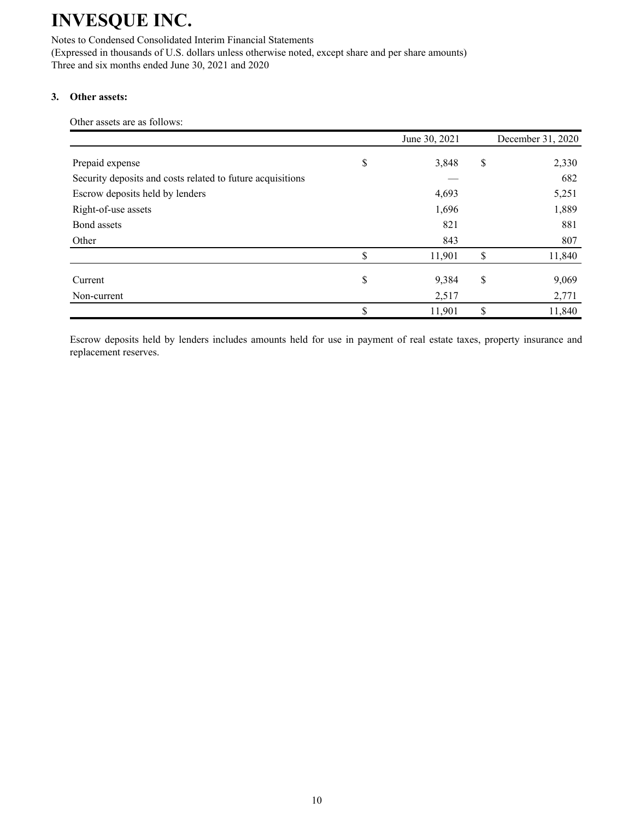Notes to Condensed Consolidated Interim Financial Statements (Expressed in thousands of U.S. dollars unless otherwise noted, except share and per share amounts) Three and six months ended June 30, 2021 and 2020

### **3. Other assets:**

Other assets are as follows:

|                                                            | June 30, 2021 | December 31, 2020 |
|------------------------------------------------------------|---------------|-------------------|
| Prepaid expense                                            | \$<br>3,848   | \$<br>2,330       |
| Security deposits and costs related to future acquisitions |               | 682               |
| Escrow deposits held by lenders                            | 4,693         | 5,251             |
| Right-of-use assets                                        | 1,696         | 1,889             |
| Bond assets                                                | 821           | 881               |
| Other                                                      | 843           | 807               |
|                                                            | \$<br>11,901  | \$<br>11,840      |
| Current                                                    | \$<br>9,384   | \$<br>9,069       |
| Non-current                                                | 2,517         | 2,771             |
|                                                            | \$<br>11,901  | \$<br>11,840      |

Escrow deposits held by lenders includes amounts held for use in payment of real estate taxes, property insurance and replacement reserves.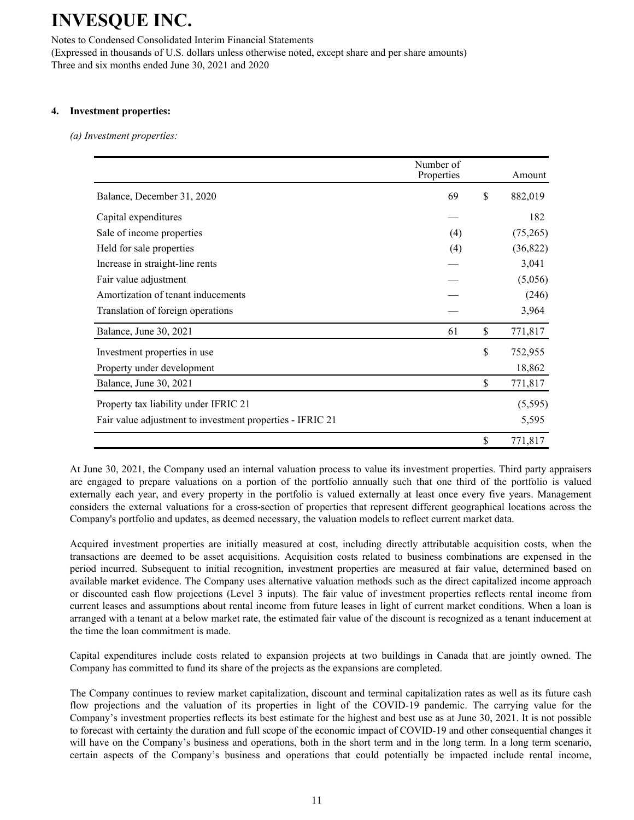Notes to Condensed Consolidated Interim Financial Statements (Expressed in thousands of U.S. dollars unless otherwise noted, except share and per share amounts) Three and six months ended June 30, 2021 and 2020

### **4. Investment properties:**

*(a) Investment properties:*

|                                                           | Number of<br>Properties | Amount        |
|-----------------------------------------------------------|-------------------------|---------------|
| Balance, December 31, 2020                                | 69                      | \$<br>882,019 |
| Capital expenditures                                      |                         | 182           |
| Sale of income properties                                 | (4)                     | (75,265)      |
| Held for sale properties                                  | (4)                     | (36,822)      |
| Increase in straight-line rents                           |                         | 3,041         |
| Fair value adjustment                                     |                         | (5,056)       |
| Amortization of tenant inducements                        |                         | (246)         |
| Translation of foreign operations                         |                         | 3,964         |
| Balance, June 30, 2021                                    | 61                      | \$<br>771,817 |
| Investment properties in use                              |                         | \$<br>752,955 |
| Property under development                                |                         | 18,862        |
| Balance, June 30, 2021                                    |                         | \$<br>771,817 |
| Property tax liability under IFRIC 21                     |                         | (5, 595)      |
| Fair value adjustment to investment properties - IFRIC 21 |                         | 5,595         |
|                                                           |                         | \$<br>771,817 |

At June 30, 2021, the Company used an internal valuation process to value its investment properties. Third party appraisers are engaged to prepare valuations on a portion of the portfolio annually such that one third of the portfolio is valued externally each year, and every property in the portfolio is valued externally at least once every five years. Management considers the external valuations for a cross-section of properties that represent different geographical locations across the Company's portfolio and updates, as deemed necessary, the valuation models to reflect current market data.

Acquired investment properties are initially measured at cost, including directly attributable acquisition costs, when the transactions are deemed to be asset acquisitions. Acquisition costs related to business combinations are expensed in the period incurred. Subsequent to initial recognition, investment properties are measured at fair value, determined based on available market evidence. The Company uses alternative valuation methods such as the direct capitalized income approach or discounted cash flow projections (Level 3 inputs). The fair value of investment properties reflects rental income from current leases and assumptions about rental income from future leases in light of current market conditions. When a loan is arranged with a tenant at a below market rate, the estimated fair value of the discount is recognized as a tenant inducement at the time the loan commitment is made.

Capital expenditures include costs related to expansion projects at two buildings in Canada that are jointly owned. The Company has committed to fund its share of the projects as the expansions are completed.

The Company continues to review market capitalization, discount and terminal capitalization rates as well as its future cash flow projections and the valuation of its properties in light of the COVID-19 pandemic. The carrying value for the Company's investment properties reflects its best estimate for the highest and best use as at June 30, 2021. It is not possible to forecast with certainty the duration and full scope of the economic impact of COVID-19 and other consequential changes it will have on the Company's business and operations, both in the short term and in the long term. In a long term scenario, certain aspects of the Company's business and operations that could potentially be impacted include rental income,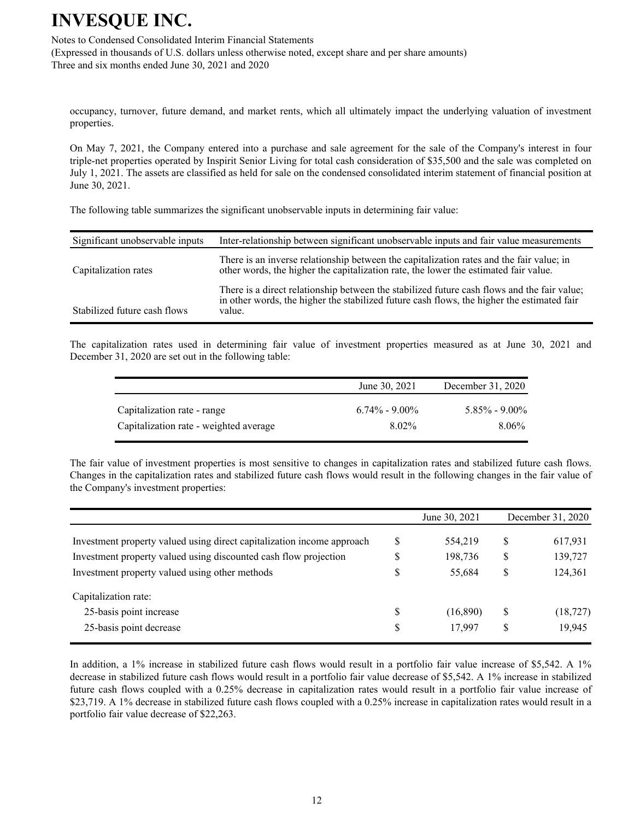Notes to Condensed Consolidated Interim Financial Statements

(Expressed in thousands of U.S. dollars unless otherwise noted, except share and per share amounts) Three and six months ended June 30, 2021 and 2020

occupancy, turnover, future demand, and market rents, which all ultimately impact the underlying valuation of investment properties.

On May 7, 2021, the Company entered into a purchase and sale agreement for the sale of the Company's interest in four triple-net properties operated by Inspirit Senior Living for total cash consideration of \$35,500 and the sale was completed on July 1, 2021. The assets are classified as held for sale on the condensed consolidated interim statement of financial position at June 30, 2021.

The following table summarizes the significant unobservable inputs in determining fair value:

| Significant unobservable inputs | Inter-relationship between significant unobservable inputs and fair value measurements                                                                                                              |
|---------------------------------|-----------------------------------------------------------------------------------------------------------------------------------------------------------------------------------------------------|
| Capitalization rates            | There is an inverse relationship between the capitalization rates and the fair value; in<br>other words, the higher the capitalization rate, the lower the estimated fair value.                    |
| Stabilized future cash flows    | There is a direct relationship between the stabilized future cash flows and the fair value;<br>in other words, the higher the stabilized future cash flows, the higher the estimated fair<br>value. |

The capitalization rates used in determining fair value of investment properties measured as at June 30, 2021 and December 31, 2020 are set out in the following table:

|                                        | June 30, 2021     | December 31, 2020 |
|----------------------------------------|-------------------|-------------------|
| Capitalization rate - range            | $6.74\% - 9.00\%$ | $5.85\% - 9.00\%$ |
| Capitalization rate - weighted average | 8.02%             | $8.06\%$          |

The fair value of investment properties is most sensitive to changes in capitalization rates and stabilized future cash flows. Changes in the capitalization rates and stabilized future cash flows would result in the following changes in the fair value of the Company's investment properties:

|                                                                        |    | June 30, 2021 |    | December 31, 2020 |
|------------------------------------------------------------------------|----|---------------|----|-------------------|
| Investment property valued using direct capitalization income approach | S  | 554,219       | \$ | 617,931           |
| Investment property valued using discounted cash flow projection       | S  | 198,736       | \$ | 139,727           |
| Investment property valued using other methods                         | \$ | 55,684        | \$ | 124,361           |
| Capitalization rate:                                                   |    |               |    |                   |
| 25-basis point increase                                                | S  | (16, 890)     | S  | (18, 727)         |
| 25-basis point decrease                                                | \$ | 17,997        | \$ | 19,945            |

In addition, a 1% increase in stabilized future cash flows would result in a portfolio fair value increase of \$5,542. A 1% decrease in stabilized future cash flows would result in a portfolio fair value decrease of \$5,542. A 1% increase in stabilized future cash flows coupled with a 0.25% decrease in capitalization rates would result in a portfolio fair value increase of \$23,719. A 1% decrease in stabilized future cash flows coupled with a 0.25% increase in capitalization rates would result in a portfolio fair value decrease of \$22,263.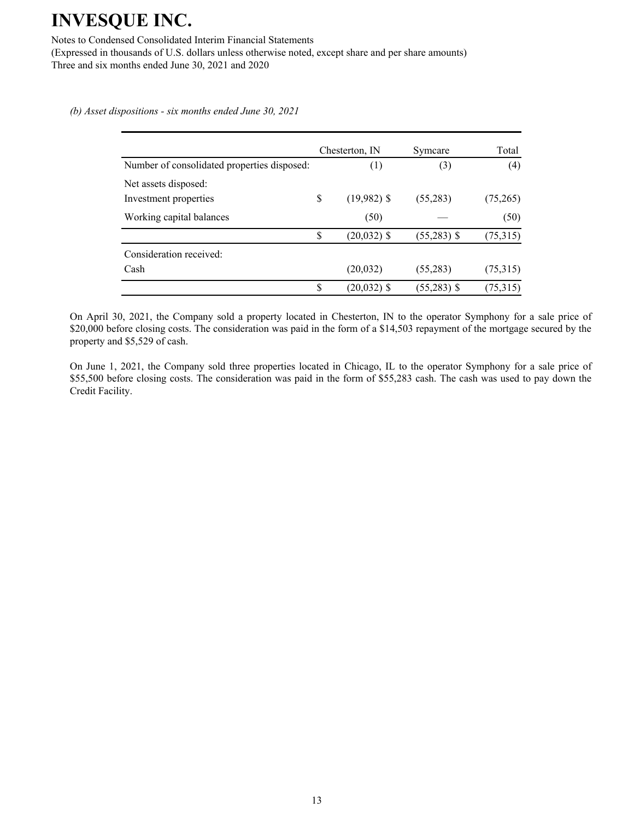Notes to Condensed Consolidated Interim Financial Statements

(Expressed in thousands of U.S. dollars unless otherwise noted, except share and per share amounts) Three and six months ended June 30, 2021 and 2020

*(b) Asset dispositions - six months ended June 30, 2021*

|                                             | Chesterton, IN      | Symcare       | Total    |
|---------------------------------------------|---------------------|---------------|----------|
| Number of consolidated properties disposed: | (1)                 | (3)           | (4)      |
| Net assets disposed:                        |                     |               |          |
| Investment properties                       | \$<br>$(19,982)$ \$ | (55,283)      | (75,265) |
| Working capital balances                    | (50)                |               | (50)     |
|                                             | \$<br>$(20,032)$ \$ | $(55,283)$ \$ | (75,315) |
| Consideration received:                     |                     |               |          |
| Cash                                        | (20, 032)           | (55,283)      | (75,315) |
|                                             | \$<br>$(20,032)$ \$ | $(55,283)$ \$ | (75,315) |

On April 30, 2021, the Company sold a property located in Chesterton, IN to the operator Symphony for a sale price of \$20,000 before closing costs. The consideration was paid in the form of a \$14,503 repayment of the mortgage secured by the property and \$5,529 of cash.

On June 1, 2021, the Company sold three properties located in Chicago, IL to the operator Symphony for a sale price of \$55,500 before closing costs. The consideration was paid in the form of \$55,283 cash. The cash was used to pay down the Credit Facility.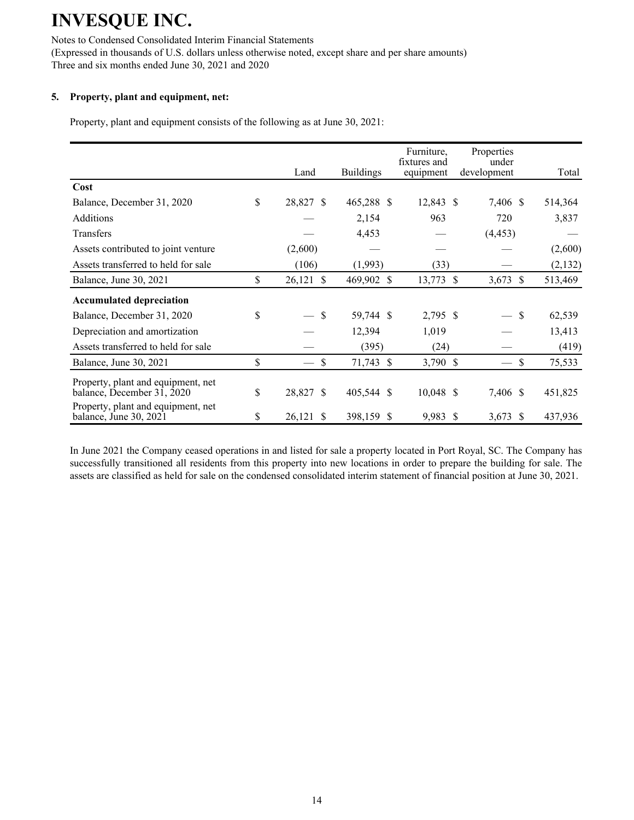Notes to Condensed Consolidated Interim Financial Statements (Expressed in thousands of U.S. dollars unless otherwise noted, except share and per share amounts) Three and six months ended June 30, 2021 and 2020

## **5. Property, plant and equipment, net:**

Property, plant and equipment consists of the following as at June 30, 2021:

|                                                                  | Land                         | <b>Buildings</b> | Furniture.<br>fixtures and<br>equipment | Properties<br>under<br>development | Total          |
|------------------------------------------------------------------|------------------------------|------------------|-----------------------------------------|------------------------------------|----------------|
| Cost                                                             |                              |                  |                                         |                                    |                |
| Balance, December 31, 2020                                       | \$<br>28,827 \$              | 465,288 \$       | 12,843 \$                               | 7,406 \$                           | 514,364        |
| <b>Additions</b>                                                 |                              | 2,154            | 963                                     | 720                                | 3,837          |
| Transfers                                                        |                              | 4,453            |                                         | (4, 453)                           |                |
| Assets contributed to joint venture                              | (2,600)                      |                  |                                         |                                    | (2,600)        |
| Assets transferred to held for sale                              | (106)                        | (1,993)          | (33)                                    |                                    | (2,132)        |
| Balance, June 30, 2021                                           | \$<br>26,121<br>$\mathbb{S}$ | 469,902 \$       | 13,773 \$                               | 3,673 \$                           | 513,469        |
| <b>Accumulated depreciation</b>                                  |                              |                  |                                         |                                    |                |
| Balance, December 31, 2020                                       | \$<br>$-$ \$                 | 59,744 \$        | 2,795 \$                                |                                    | - \$<br>62,539 |
| Depreciation and amortization                                    |                              | 12,394           | 1,019                                   |                                    | 13,413         |
| Assets transferred to held for sale                              |                              | (395)            | (24)                                    |                                    | (419)          |
| Balance, June 30, 2021                                           | \$<br>\$                     | 71,743 \$        | 3,790 \$                                |                                    | \$<br>75,533   |
| Property, plant and equipment, net<br>balance, December 31, 2020 | \$<br>28,827 \$              | 405,544 \$       | $10,048$ \$                             | 7,406 \$                           | 451,825        |
| Property, plant and equipment, net<br>balance, June 30, 2021     | \$<br>26,121<br>S            | 398,159 \$       | 9,983 \$                                | $3,673$ \$                         | 437,936        |

In June 2021 the Company ceased operations in and listed for sale a property located in Port Royal, SC. The Company has successfully transitioned all residents from this property into new locations in order to prepare the building for sale. The assets are classified as held for sale on the condensed consolidated interim statement of financial position at June 30, 2021.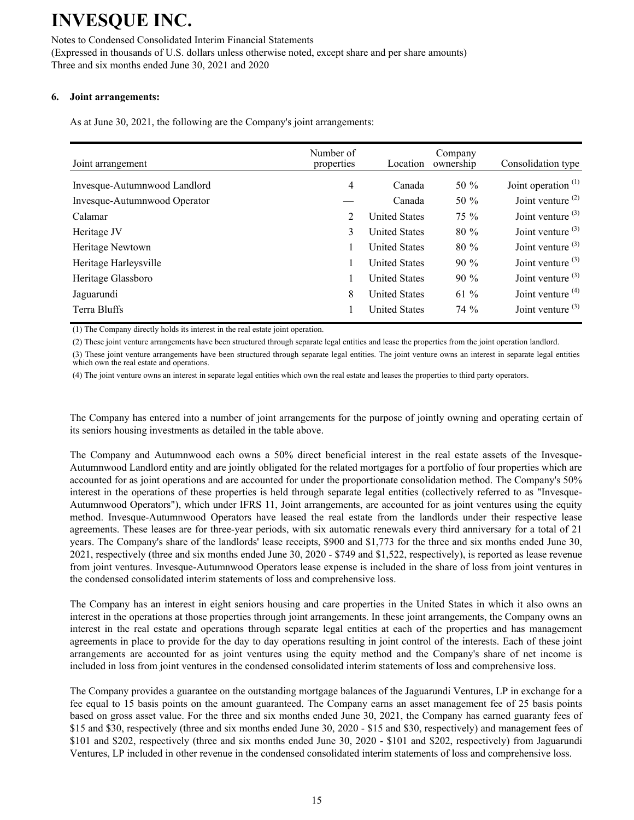## Notes to Condensed Consolidated Interim Financial Statements

(Expressed in thousands of U.S. dollars unless otherwise noted, except share and per share amounts) Three and six months ended June 30, 2021 and 2020

#### **6. Joint arrangements:**

As at June 30, 2021, the following are the Company's joint arrangements:

| Joint arrangement            | Number of<br>properties | Location             | Company<br>ownership | Consolidation type    |
|------------------------------|-------------------------|----------------------|----------------------|-----------------------|
| Invesque-Autumnwood Landlord | 4                       | Canada               | 50 $%$               | Joint operation $(1)$ |
| Invesque-Autumnwood Operator |                         | Canada               | 50 $%$               | Joint venture $(2)$   |
| Calamar                      | 2                       | <b>United States</b> | $75\%$               | Joint venture $(3)$   |
| Heritage JV                  | 3                       | <b>United States</b> | $80\%$               | Joint venture $(3)$   |
| Heritage Newtown             |                         | <b>United States</b> | 80 %                 | Joint venture $(3)$   |
| Heritage Harleysville        |                         | <b>United States</b> | $90\%$               | Joint venture $(3)$   |
| Heritage Glassboro           |                         | <b>United States</b> | $90\%$               | Joint venture $(3)$   |
| Jaguarundi                   | 8                       | <b>United States</b> | 61 $%$               | Joint venture $(4)$   |
| Terra Bluffs                 |                         | <b>United States</b> | $74\%$               | Joint venture $(3)$   |

(1) The Company directly holds its interest in the real estate joint operation.

(2) These joint venture arrangements have been structured through separate legal entities and lease the properties from the joint operation landlord.

(3) These joint venture arrangements have been structured through separate legal entities. The joint venture owns an interest in separate legal entities which own the real estate and operations.

(4) The joint venture owns an interest in separate legal entities which own the real estate and leases the properties to third party operators.

The Company has entered into a number of joint arrangements for the purpose of jointly owning and operating certain of its seniors housing investments as detailed in the table above.

The Company and Autumnwood each owns a 50% direct beneficial interest in the real estate assets of the Invesque-Autumnwood Landlord entity and are jointly obligated for the related mortgages for a portfolio of four properties which are accounted for as joint operations and are accounted for under the proportionate consolidation method. The Company's 50% interest in the operations of these properties is held through separate legal entities (collectively referred to as "Invesque-Autumnwood Operators"), which under IFRS 11, Joint arrangements, are accounted for as joint ventures using the equity method. Invesque-Autumnwood Operators have leased the real estate from the landlords under their respective lease agreements. These leases are for three-year periods, with six automatic renewals every third anniversary for a total of 21 years. The Company's share of the landlords' lease receipts, \$900 and \$1,773 for the three and six months ended June 30, 2021, respectively (three and six months ended June 30, 2020 - \$749 and \$1,522, respectively), is reported as lease revenue from joint ventures. Invesque-Autumnwood Operators lease expense is included in the share of loss from joint ventures in the condensed consolidated interim statements of loss and comprehensive loss.

The Company has an interest in eight seniors housing and care properties in the United States in which it also owns an interest in the operations at those properties through joint arrangements. In these joint arrangements, the Company owns an interest in the real estate and operations through separate legal entities at each of the properties and has management agreements in place to provide for the day to day operations resulting in joint control of the interests. Each of these joint arrangements are accounted for as joint ventures using the equity method and the Company's share of net income is included in loss from joint ventures in the condensed consolidated interim statements of loss and comprehensive loss.

The Company provides a guarantee on the outstanding mortgage balances of the Jaguarundi Ventures, LP in exchange for a fee equal to 15 basis points on the amount guaranteed. The Company earns an asset management fee of 25 basis points based on gross asset value. For the three and six months ended June 30, 2021, the Company has earned guaranty fees of \$15 and \$30, respectively (three and six months ended June 30, 2020 - \$15 and \$30, respectively) and management fees of \$101 and \$202, respectively (three and six months ended June 30, 2020 - \$101 and \$202, respectively) from Jaguarundi Ventures, LP included in other revenue in the condensed consolidated interim statements of loss and comprehensive loss.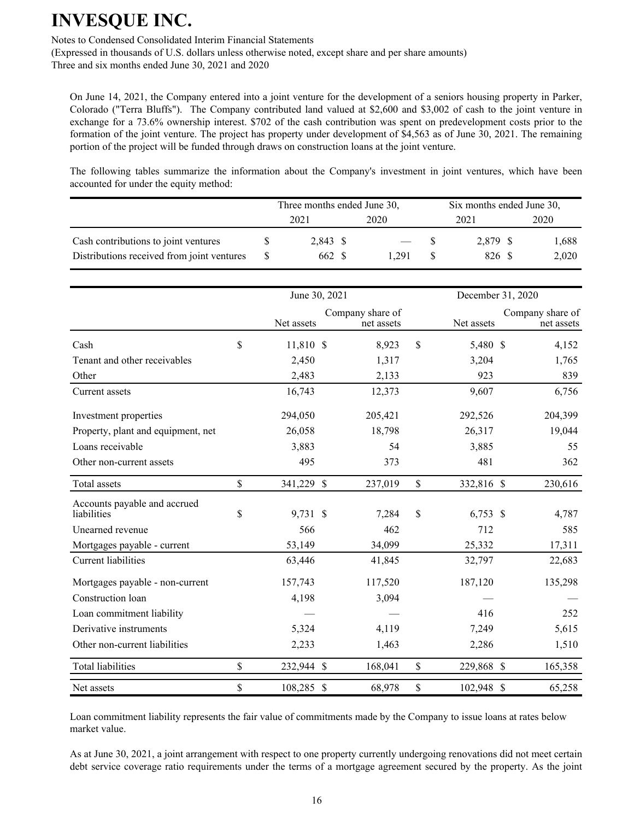Notes to Condensed Consolidated Interim Financial Statements

(Expressed in thousands of U.S. dollars unless otherwise noted, except share and per share amounts) Three and six months ended June 30, 2021 and 2020

On June 14, 2021, the Company entered into a joint venture for the development of a seniors housing property in Parker, Colorado ("Terra Bluffs"). The Company contributed land valued at \$2,600 and \$3,002 of cash to the joint venture in exchange for a 73.6% ownership interest. \$702 of the cash contribution was spent on predevelopment costs prior to the formation of the joint venture. The project has property under development of \$4,563 as of June 30, 2021. The remaining portion of the project will be funded through draws on construction loans at the joint venture.

The following tables summarize the information about the Company's investment in joint ventures, which have been accounted for under the equity method:

|                                            | Three months ended June 30, |          |      |       |      | Six months ended June 30, |  |       |  |
|--------------------------------------------|-----------------------------|----------|------|-------|------|---------------------------|--|-------|--|
|                                            | 2021                        |          | 2020 |       | 2021 |                           |  | 2020  |  |
| Cash contributions to joint ventures       |                             | 2,843 \$ |      |       |      | 2.879 \$                  |  | 1,688 |  |
| Distributions received from joint ventures |                             | 662 \$   |      | 1 291 |      | 826 S                     |  | 2,020 |  |

|                                             |               | June 30, 2021 |                                |               | December 31, 2020 |                                |
|---------------------------------------------|---------------|---------------|--------------------------------|---------------|-------------------|--------------------------------|
|                                             |               | Net assets    | Company share of<br>net assets |               | Net assets        | Company share of<br>net assets |
| Cash                                        | $\mathbf S$   | 11,810 \$     | 8,923                          | $\mathbf S$   | 5,480 \$          | 4,152                          |
| Tenant and other receivables                |               | 2,450         | 1,317                          |               | 3,204             | 1,765                          |
| Other                                       |               | 2,483         | 2,133                          |               | 923               | 839                            |
| Current assets                              |               | 16,743        | 12,373                         |               | 9,607             | 6,756                          |
| Investment properties                       |               | 294,050       | 205,421                        |               | 292,526           | 204,399                        |
| Property, plant and equipment, net          |               | 26,058        | 18,798                         |               | 26,317            | 19,044                         |
| Loans receivable                            |               | 3,883         | 54                             |               | 3,885             | 55                             |
| Other non-current assets                    |               | 495           | 373                            |               | 481               | 362                            |
| Total assets                                | $\mathsf{\$}$ | 341,229 \$    | 237,019                        | \$            | 332,816 \$        | 230,616                        |
| Accounts payable and accrued<br>liabilities | \$            | 9,731 \$      | 7,284                          | $\mathsf{\$}$ | $6,753$ \$        | 4,787                          |
| Unearned revenue                            |               | 566           | 462                            |               | 712               | 585                            |
| Mortgages payable - current                 |               | 53,149        | 34,099                         |               | 25,332            | 17,311                         |
| <b>Current liabilities</b>                  |               | 63,446        | 41,845                         |               | 32,797            | 22,683                         |
| Mortgages payable - non-current             |               | 157,743       | 117,520                        |               | 187,120           | 135,298                        |
| Construction loan                           |               | 4,198         | 3,094                          |               |                   |                                |
| Loan commitment liability                   |               |               |                                |               | 416               | 252                            |
| Derivative instruments                      |               | 5,324         | 4,119                          |               | 7,249             | 5,615                          |
| Other non-current liabilities               |               | 2,233         | 1,463                          |               | 2,286             | 1,510                          |
| <b>Total liabilities</b>                    | \$            | 232,944 \$    | 168,041                        | \$            | 229,868 \$        | 165,358                        |
| Net assets                                  | \$            | 108,285 \$    | 68,978                         | \$            | 102,948 \$        | 65,258                         |

Loan commitment liability represents the fair value of commitments made by the Company to issue loans at rates below market value.

As at June 30, 2021, a joint arrangement with respect to one property currently undergoing renovations did not meet certain debt service coverage ratio requirements under the terms of a mortgage agreement secured by the property. As the joint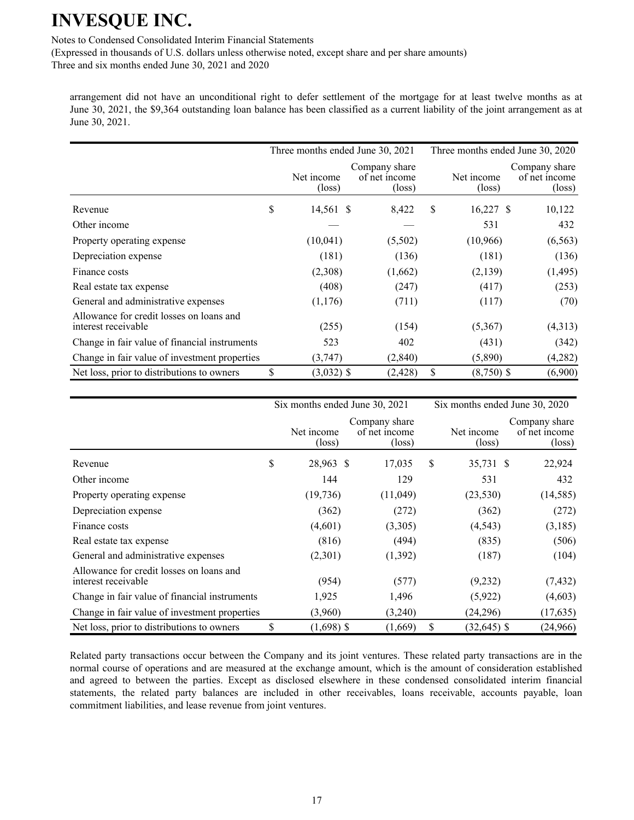Notes to Condensed Consolidated Interim Financial Statements

(Expressed in thousands of U.S. dollars unless otherwise noted, except share and per share amounts) Three and six months ended June 30, 2021 and 2020

arrangement did not have an unconditional right to defer settlement of the mortgage for at least twelve months as at June 30, 2021, the \$9,364 outstanding loan balance has been classified as a current liability of the joint arrangement as at June 30, 2021.

|                                                                 |                               | Three months ended June 30, 2021                  | Three months ended June 30, 2020 |                               |  |                                                   |
|-----------------------------------------------------------------|-------------------------------|---------------------------------------------------|----------------------------------|-------------------------------|--|---------------------------------------------------|
|                                                                 | Net income<br>$(\text{loss})$ | Company share<br>of net income<br>$(\text{loss})$ |                                  | Net income<br>$(\text{loss})$ |  | Company share<br>of net income<br>$(\text{loss})$ |
| Revenue                                                         | \$<br>14,561 \$               | 8,422                                             | \$                               | $16,227$ \$                   |  | 10,122                                            |
| Other income                                                    |                               |                                                   |                                  | 531                           |  | 432                                               |
| Property operating expense                                      | (10,041)                      | (5,502)                                           |                                  | (10,966)                      |  | (6, 563)                                          |
| Depreciation expense                                            | (181)                         | (136)                                             |                                  | (181)                         |  | (136)                                             |
| Finance costs                                                   | (2,308)                       | (1,662)                                           |                                  | (2,139)                       |  | (1, 495)                                          |
| Real estate tax expense                                         | (408)                         | (247)                                             |                                  | (417)                         |  | (253)                                             |
| General and administrative expenses                             | (1,176)                       | (711)                                             |                                  | (117)                         |  | (70)                                              |
| Allowance for credit losses on loans and<br>interest receivable | (255)                         | (154)                                             |                                  | (5,367)                       |  | (4,313)                                           |
| Change in fair value of financial instruments                   | 523                           | 402                                               |                                  | (431)                         |  | (342)                                             |
| Change in fair value of investment properties                   | (3,747)                       | (2,840)                                           |                                  | (5,890)                       |  | (4,282)                                           |
| Net loss, prior to distributions to owners                      | \$<br>$(3,032)$ \$            | (2, 428)                                          | \$                               | $(8,750)$ \$                  |  | (6,900)                                           |

|                                                                 | Six months ended June 30, 2021 |  | Six months ended June 30, 2020                    |    |                      |  |                                                   |
|-----------------------------------------------------------------|--------------------------------|--|---------------------------------------------------|----|----------------------|--|---------------------------------------------------|
|                                                                 | Net income<br>(loss)           |  | Company share<br>of net income<br>$(\text{loss})$ |    | Net income<br>(loss) |  | Company share<br>of net income<br>$(\text{loss})$ |
| Revenue                                                         | \$<br>28,963 \$                |  | 17,035                                            | S  | 35,731 \$            |  | 22,924                                            |
| Other income                                                    | 144                            |  | 129                                               |    | 531                  |  | 432                                               |
| Property operating expense                                      | (19, 736)                      |  | (11,049)                                          |    | (23, 530)            |  | (14, 585)                                         |
| Depreciation expense                                            | (362)                          |  | (272)                                             |    | (362)                |  | (272)                                             |
| Finance costs                                                   | (4,601)                        |  | (3,305)                                           |    | (4, 543)             |  | (3,185)                                           |
| Real estate tax expense                                         | (816)                          |  | (494)                                             |    | (835)                |  | (506)                                             |
| General and administrative expenses                             | (2,301)                        |  | (1,392)                                           |    | (187)                |  | (104)                                             |
| Allowance for credit losses on loans and<br>interest receivable | (954)                          |  | (577)                                             |    | (9,232)              |  | (7, 432)                                          |
| Change in fair value of financial instruments                   | 1,925                          |  | 1,496                                             |    | (5,922)              |  | (4,603)                                           |
| Change in fair value of investment properties                   | (3,960)                        |  | (3,240)                                           |    | (24, 296)            |  | (17, 635)                                         |
| Net loss, prior to distributions to owners                      | \$<br>$(1,698)$ \$             |  | (1,669)                                           | \$ | $(32, 645)$ \$       |  | (24,966)                                          |

Related party transactions occur between the Company and its joint ventures. These related party transactions are in the normal course of operations and are measured at the exchange amount, which is the amount of consideration established and agreed to between the parties. Except as disclosed elsewhere in these condensed consolidated interim financial statements, the related party balances are included in other receivables, loans receivable, accounts payable, loan commitment liabilities, and lease revenue from joint ventures.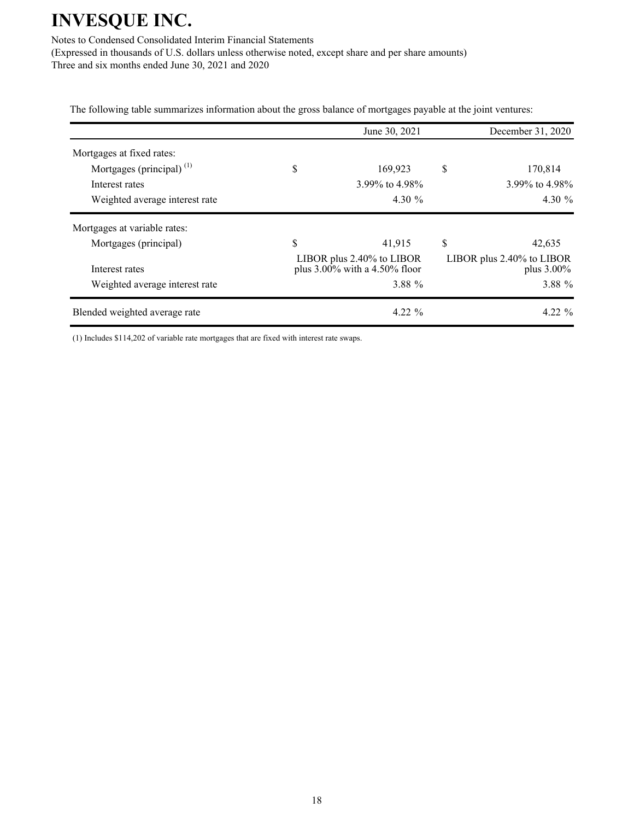Notes to Condensed Consolidated Interim Financial Statements

(Expressed in thousands of U.S. dollars unless otherwise noted, except share and per share amounts) Three and six months ended June 30, 2021 and 2020

The following table summarizes information about the gross balance of mortgages payable at the joint ventures:

|                                | June 30, 2021                                                    | December 31, 2020                          |
|--------------------------------|------------------------------------------------------------------|--------------------------------------------|
| Mortgages at fixed rates:      |                                                                  |                                            |
| Mortgages (principal) $(1)$    | \$<br>169,923                                                    | \$<br>170,814                              |
| Interest rates                 | 3.99% to 4.98%                                                   | 3.99% to 4.98%                             |
| Weighted average interest rate | 4.30 $\%$                                                        | 4.30 $\%$                                  |
| Mortgages at variable rates:   |                                                                  |                                            |
| Mortgages (principal)          | \$<br>41,915                                                     | \$<br>42,635                               |
| Interest rates                 | LIBOR plus $2.40\%$ to LIBOR<br>plus $3.00\%$ with a 4.50% floor | LIBOR plus 2.40% to LIBOR<br>plus $3.00\%$ |
| Weighted average interest rate | 3.88 %                                                           | 3.88 %                                     |
| Blended weighted average rate  | $4.22\%$                                                         | $4.22\%$                                   |

(1) Includes \$114,202 of variable rate mortgages that are fixed with interest rate swaps.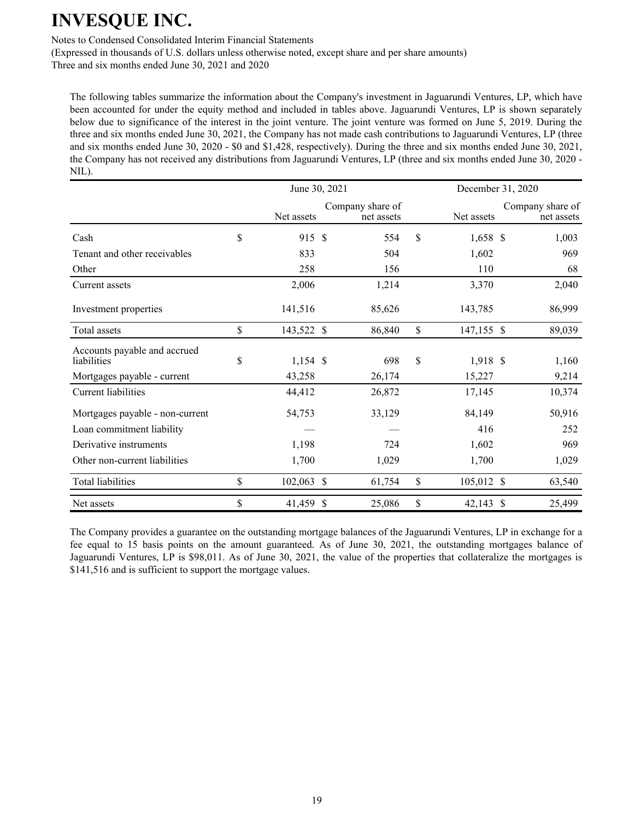Notes to Condensed Consolidated Interim Financial Statements

(Expressed in thousands of U.S. dollars unless otherwise noted, except share and per share amounts)

Three and six months ended June 30, 2021 and 2020

The following tables summarize the information about the Company's investment in Jaguarundi Ventures, LP, which have been accounted for under the equity method and included in tables above. Jaguarundi Ventures, LP is shown separately below due to significance of the interest in the joint venture. The joint venture was formed on June 5, 2019. During the three and six months ended June 30, 2021, the Company has not made cash contributions to Jaguarundi Ventures, LP (three and six months ended June 30, 2020 - \$0 and \$1,428, respectively). During the three and six months ended June 30, 2021, the Company has not received any distributions from Jaguarundi Ventures, LP (three and six months ended June 30, 2020 - NIL).

|                                             |    | December 31, 2020 |                                |                   |                                |
|---------------------------------------------|----|-------------------|--------------------------------|-------------------|--------------------------------|
|                                             |    | Net assets        | Company share of<br>net assets | Net assets        | Company share of<br>net assets |
| Cash                                        | \$ | 915 \$            | 554                            | \$<br>1,658 \$    | 1,003                          |
| Tenant and other receivables                |    | 833               | 504                            | 1,602             | 969                            |
| Other                                       |    | 258               | 156                            | 110               | 68                             |
| Current assets                              |    | 2,006             | 1,214                          | 3,370             | 2,040                          |
| Investment properties                       |    | 141,516           | 85,626                         | 143,785           | 86,999                         |
| Total assets                                | \$ | 143,522 \$        | 86,840                         | \$<br>147,155 \$  | 89,039                         |
| Accounts payable and accrued<br>liabilities | \$ | $1,154$ \$        | 698                            | \$<br>1,918 \$    | 1,160                          |
| Mortgages payable - current                 |    | 43,258            | 26,174                         | 15,227            | 9,214                          |
| <b>Current liabilities</b>                  |    | 44,412            | 26,872                         | 17,145            | 10,374                         |
| Mortgages payable - non-current             |    | 54,753            | 33,129                         | 84,149            | 50,916                         |
| Loan commitment liability                   |    |                   |                                | 416               | 252                            |
| Derivative instruments                      |    | 1,198             | 724                            | 1,602             | 969                            |
| Other non-current liabilities               |    | 1,700             | 1,029                          | 1,700             | 1,029                          |
| Total liabilities                           | \$ | 102,063 \$        | 61,754                         | \$<br>105,012 \$  | 63,540                         |
| Net assets                                  | \$ | 41,459 \$         | 25,086                         | \$<br>$42,143$ \$ | 25,499                         |

The Company provides a guarantee on the outstanding mortgage balances of the Jaguarundi Ventures, LP in exchange for a fee equal to 15 basis points on the amount guaranteed. As of June 30, 2021, the outstanding mortgages balance of Jaguarundi Ventures, LP is \$98,011. As of June 30, 2021, the value of the properties that collateralize the mortgages is \$141,516 and is sufficient to support the mortgage values.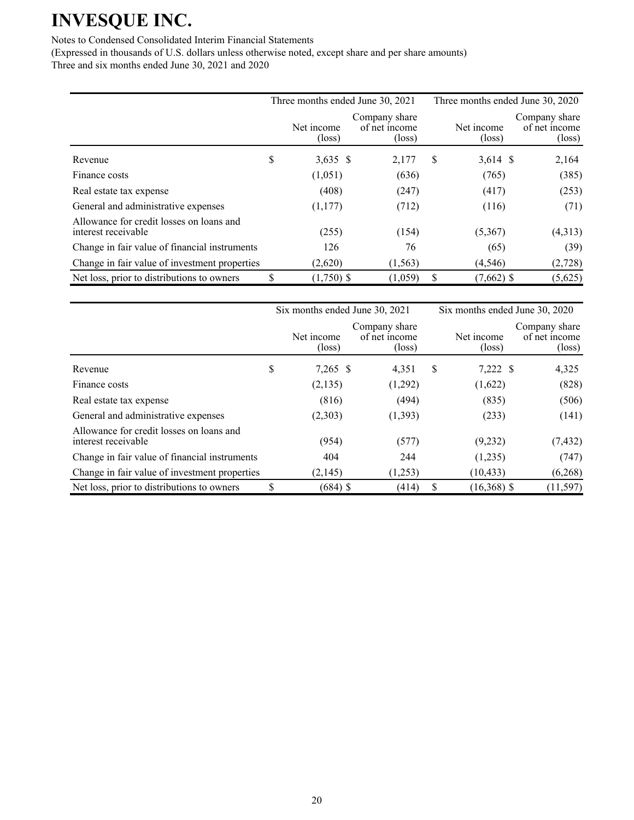### Notes to Condensed Consolidated Interim Financial Statements

|                                                                 | Three months ended June 30, 2021 |                               |                                                   |   | Three months ended June 30, 2020 |                                                   |  |  |
|-----------------------------------------------------------------|----------------------------------|-------------------------------|---------------------------------------------------|---|----------------------------------|---------------------------------------------------|--|--|
|                                                                 |                                  | Net income<br>$(\text{loss})$ | Company share<br>of net income<br>$(\text{loss})$ |   | Net income<br>$(\text{loss})$    | Company share<br>of net income<br>$(\text{loss})$ |  |  |
| Revenue                                                         | \$                               | $3,635$ \$                    | 2,177                                             | S | $3,614$ \$                       | 2,164                                             |  |  |
| Finance costs                                                   |                                  | (1,051)                       | (636)                                             |   | (765)                            | (385)                                             |  |  |
| Real estate tax expense                                         |                                  | (408)                         | (247)                                             |   | (417)                            | (253)                                             |  |  |
| General and administrative expenses                             |                                  | (1,177)                       | (712)                                             |   | (116)                            | (71)                                              |  |  |
| Allowance for credit losses on loans and<br>interest receivable |                                  | (255)                         | (154)                                             |   | (5,367)                          | (4,313)                                           |  |  |
| Change in fair value of financial instruments                   |                                  | 126                           | 76                                                |   | (65)                             | (39)                                              |  |  |
| Change in fair value of investment properties                   |                                  | (2,620)                       | (1, 563)                                          |   | (4, 546)                         | (2,728)                                           |  |  |
| Net loss, prior to distributions to owners                      | \$                               | $(1,750)$ \$                  | (1,059)                                           | S | $(7,662)$ \$                     | (5,625)                                           |  |  |

|                                                                 | Six months ended June 30, 2021 |                                                   |   | Six months ended June 30, 2020 |                                                   |  |  |
|-----------------------------------------------------------------|--------------------------------|---------------------------------------------------|---|--------------------------------|---------------------------------------------------|--|--|
|                                                                 | Net income<br>$(\text{loss})$  | Company share<br>of net income<br>$(\text{loss})$ |   | Net income<br>$(\text{loss})$  | Company share<br>of net income<br>$(\text{loss})$ |  |  |
| Revenue                                                         | \$<br>$7,265$ \$               | 4,351                                             | S | 7,222 \$                       | 4,325                                             |  |  |
| Finance costs                                                   | (2,135)                        | (1,292)                                           |   | (1,622)                        | (828)                                             |  |  |
| Real estate tax expense                                         | (816)                          | (494)                                             |   | (835)                          | (506)                                             |  |  |
| General and administrative expenses                             | (2,303)                        | (1,393)                                           |   | (233)                          | (141)                                             |  |  |
| Allowance for credit losses on loans and<br>interest receivable | (954)                          | (577)                                             |   | (9,232)                        | (7, 432)                                          |  |  |
| Change in fair value of financial instruments                   | 404                            | 244                                               |   | (1,235)                        | (747)                                             |  |  |
| Change in fair value of investment properties                   | (2,145)                        | (1,253)                                           |   | (10, 433)                      | (6,268)                                           |  |  |
| Net loss, prior to distributions to owners                      | (684) \$                       | (414)                                             |   | $(16,368)$ \$                  | (11, 597)                                         |  |  |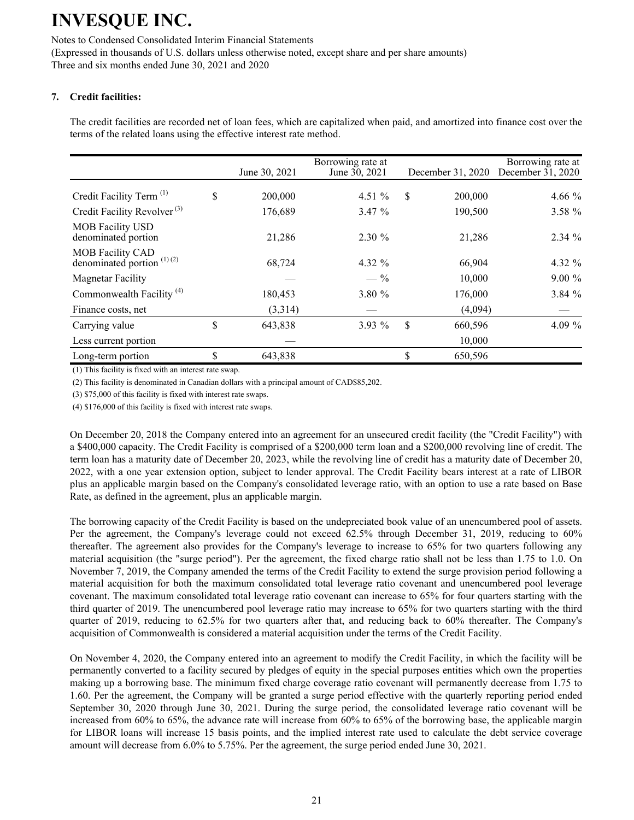Notes to Condensed Consolidated Interim Financial Statements (Expressed in thousands of U.S. dollars unless otherwise noted, except share and per share amounts) Three and six months ended June 30, 2021 and 2020

## **7. Credit facilities:**

The credit facilities are recorded net of loan fees, which are capitalized when paid, and amortized into finance cost over the terms of the related loans using the effective interest rate method.

|                                                         | June 30, 2021 | Borrowing rate at<br>June 30, 2021 | December 31, 2020 | Borrowing rate at<br>December $31, 2020$ |
|---------------------------------------------------------|---------------|------------------------------------|-------------------|------------------------------------------|
|                                                         |               |                                    |                   |                                          |
| Credit Facility Term <sup>(1)</sup>                     | \$<br>200,000 | 4.51 $%$                           | \$<br>200,000     | 4.66 $%$                                 |
| Credit Facility Revolver <sup>(3)</sup>                 | 176,689       | 3.47 %                             | 190,500           | 3.58 %                                   |
| <b>MOB</b> Facility USD<br>denominated portion          | 21,286        | $2.30 \%$                          | 21,286            | $2.34 \%$                                |
| <b>MOB Facility CAD</b><br>denominated portion $(1)(2)$ | 68,724        | 4.32 %                             | 66,904            | 4.32 %                                   |
| <b>Magnetar Facility</b>                                |               | $-$ %                              | 10.000            | $9.00\%$                                 |
| Commonwealth Facility <sup>(4)</sup>                    | 180,453       | 3.80%                              | 176,000           | 3.84%                                    |
| Finance costs, net                                      | (3,314)       |                                    | (4,094)           |                                          |
| Carrying value                                          | \$<br>643,838 | $3.93\%$                           | \$<br>660,596     | 4.09 %                                   |
| Less current portion                                    |               |                                    | 10,000            |                                          |
| Long-term portion                                       | \$<br>643,838 |                                    | \$<br>650,596     |                                          |

(1) This facility is fixed with an interest rate swap.

(2) This facility is denominated in Canadian dollars with a principal amount of CAD\$85,202.

(3) \$75,000 of this facility is fixed with interest rate swaps.

(4) \$176,000 of this facility is fixed with interest rate swaps.

On December 20, 2018 the Company entered into an agreement for an unsecured credit facility (the "Credit Facility") with a \$400,000 capacity. The Credit Facility is comprised of a \$200,000 term loan and a \$200,000 revolving line of credit. The term loan has a maturity date of December 20, 2023, while the revolving line of credit has a maturity date of December 20, 2022, with a one year extension option, subject to lender approval. The Credit Facility bears interest at a rate of LIBOR plus an applicable margin based on the Company's consolidated leverage ratio, with an option to use a rate based on Base Rate, as defined in the agreement, plus an applicable margin.

The borrowing capacity of the Credit Facility is based on the undepreciated book value of an unencumbered pool of assets. Per the agreement, the Company's leverage could not exceed 62.5% through December 31, 2019, reducing to 60% thereafter. The agreement also provides for the Company's leverage to increase to 65% for two quarters following any material acquisition (the "surge period"). Per the agreement, the fixed charge ratio shall not be less than 1.75 to 1.0. On November 7, 2019, the Company amended the terms of the Credit Facility to extend the surge provision period following a material acquisition for both the maximum consolidated total leverage ratio covenant and unencumbered pool leverage covenant. The maximum consolidated total leverage ratio covenant can increase to 65% for four quarters starting with the third quarter of 2019. The unencumbered pool leverage ratio may increase to 65% for two quarters starting with the third quarter of 2019, reducing to 62.5% for two quarters after that, and reducing back to 60% thereafter. The Company's acquisition of Commonwealth is considered a material acquisition under the terms of the Credit Facility.

On November 4, 2020, the Company entered into an agreement to modify the Credit Facility, in which the facility will be permanently converted to a facility secured by pledges of equity in the special purposes entities which own the properties making up a borrowing base. The minimum fixed charge coverage ratio covenant will permanently decrease from 1.75 to 1.60. Per the agreement, the Company will be granted a surge period effective with the quarterly reporting period ended September 30, 2020 through June 30, 2021. During the surge period, the consolidated leverage ratio covenant will be increased from 60% to 65%, the advance rate will increase from 60% to 65% of the borrowing base, the applicable margin for LIBOR loans will increase 15 basis points, and the implied interest rate used to calculate the debt service coverage amount will decrease from 6.0% to 5.75%. Per the agreement, the surge period ended June 30, 2021.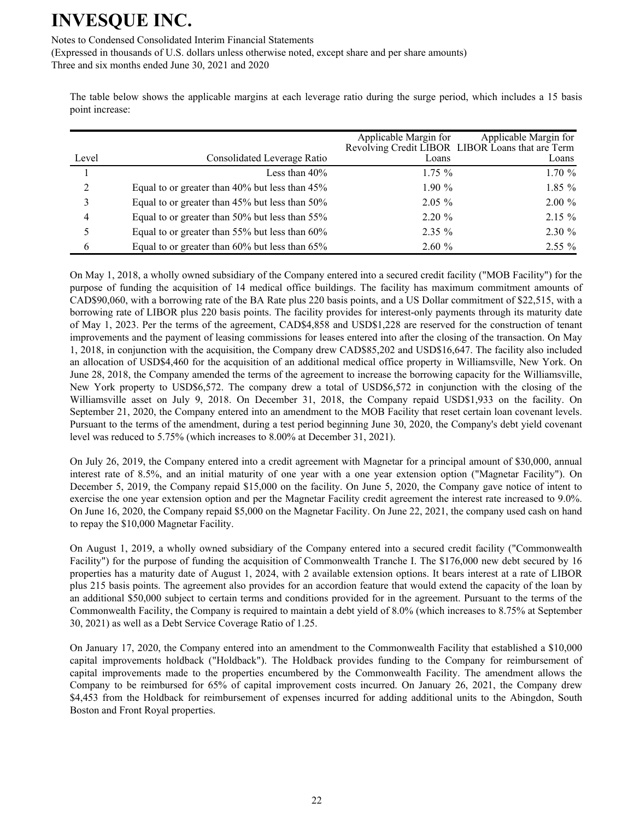Notes to Condensed Consolidated Interim Financial Statements

(Expressed in thousands of U.S. dollars unless otherwise noted, except share and per share amounts)

Three and six months ended June 30, 2021 and 2020

The table below shows the applicable margins at each leverage ratio during the surge period, which includes a 15 basis point increase:

|                |                                                | Applicable Margin for | Applicable Margin for<br>Revolving Credit LIBOR LIBOR Loans that are Term |
|----------------|------------------------------------------------|-----------------------|---------------------------------------------------------------------------|
| Level          | Consolidated Leverage Ratio                    | Loans                 | Loans                                                                     |
|                | Less than 40%                                  | $1.75\%$              | 1.70%                                                                     |
| $\overline{2}$ | Equal to or greater than 40% but less than 45% | $1.90\%$              | $1.85\%$                                                                  |
| 3              | Equal to or greater than 45% but less than 50% | $2.05\%$              | $2.00\%$                                                                  |
| 4              | Equal to or greater than 50% but less than 55% | $2.20 \%$             | $2.15 \%$                                                                 |
| 5              | Equal to or greater than 55% but less than 60% | $2.35\%$              | $2.30 \%$                                                                 |
| 6              | Equal to or greater than 60% but less than 65% | 2.60%                 | $2.55\%$                                                                  |

On May 1, 2018, a wholly owned subsidiary of the Company entered into a secured credit facility ("MOB Facility") for the purpose of funding the acquisition of 14 medical office buildings. The facility has maximum commitment amounts of CAD\$90,060, with a borrowing rate of the BA Rate plus 220 basis points, and a US Dollar commitment of \$22,515, with a borrowing rate of LIBOR plus 220 basis points. The facility provides for interest-only payments through its maturity date of May 1, 2023. Per the terms of the agreement, CAD\$4,858 and USD\$1,228 are reserved for the construction of tenant improvements and the payment of leasing commissions for leases entered into after the closing of the transaction. On May 1, 2018, in conjunction with the acquisition, the Company drew CAD\$85,202 and USD\$16,647. The facility also included an allocation of USD\$4,460 for the acquisition of an additional medical office property in Williamsville, New York. On June 28, 2018, the Company amended the terms of the agreement to increase the borrowing capacity for the Williamsville, New York property to USD\$6,572. The company drew a total of USD\$6,572 in conjunction with the closing of the Williamsville asset on July 9, 2018. On December 31, 2018, the Company repaid USD\$1,933 on the facility. On September 21, 2020, the Company entered into an amendment to the MOB Facility that reset certain loan covenant levels. Pursuant to the terms of the amendment, during a test period beginning June 30, 2020, the Company's debt yield covenant level was reduced to 5.75% (which increases to 8.00% at December 31, 2021).

On July 26, 2019, the Company entered into a credit agreement with Magnetar for a principal amount of \$30,000, annual interest rate of 8.5%, and an initial maturity of one year with a one year extension option ("Magnetar Facility"). On December 5, 2019, the Company repaid \$15,000 on the facility. On June 5, 2020, the Company gave notice of intent to exercise the one year extension option and per the Magnetar Facility credit agreement the interest rate increased to 9.0%. On June 16, 2020, the Company repaid \$5,000 on the Magnetar Facility. On June 22, 2021, the company used cash on hand to repay the \$10,000 Magnetar Facility.

On August 1, 2019, a wholly owned subsidiary of the Company entered into a secured credit facility ("Commonwealth Facility") for the purpose of funding the acquisition of Commonwealth Tranche I. The \$176,000 new debt secured by 16 properties has a maturity date of August 1, 2024, with 2 available extension options. It bears interest at a rate of LIBOR plus 215 basis points. The agreement also provides for an accordion feature that would extend the capacity of the loan by an additional \$50,000 subject to certain terms and conditions provided for in the agreement. Pursuant to the terms of the Commonwealth Facility, the Company is required to maintain a debt yield of 8.0% (which increases to 8.75% at September 30, 2021) as well as a Debt Service Coverage Ratio of 1.25.

On January 17, 2020, the Company entered into an amendment to the Commonwealth Facility that established a \$10,000 capital improvements holdback ("Holdback"). The Holdback provides funding to the Company for reimbursement of capital improvements made to the properties encumbered by the Commonwealth Facility. The amendment allows the Company to be reimbursed for 65% of capital improvement costs incurred. On January 26, 2021, the Company drew \$4,453 from the Holdback for reimbursement of expenses incurred for adding additional units to the Abingdon, South Boston and Front Royal properties.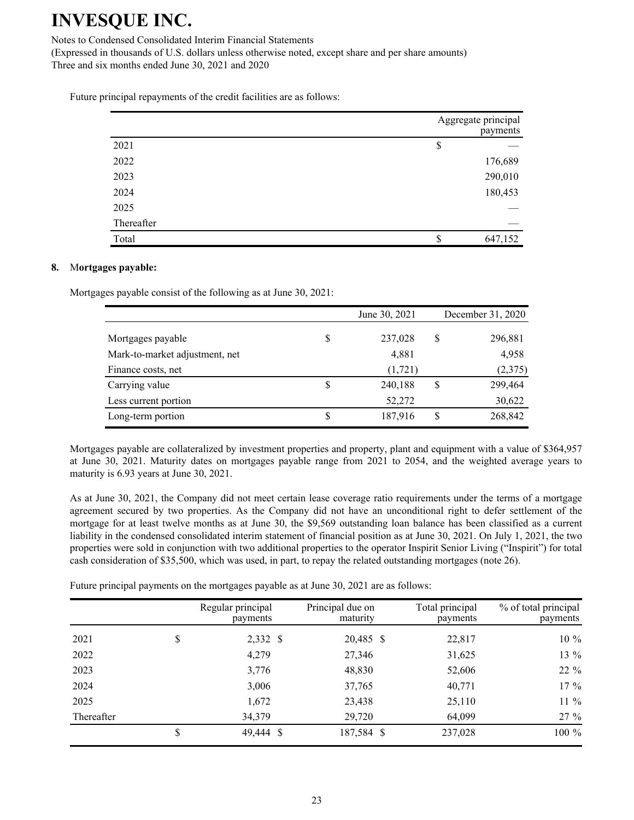Notes to Condensed Consolidated Interim Financial Statements

(Expressed in thousands of U.S. dollars unless otherwise noted, except share and per share amounts) Three and six months ended June 30, 2021 and 2020

Future principal repayments of the credit facilities are as follows:

|            | Aggregate principal | payments |
|------------|---------------------|----------|
| 2021       | \$                  |          |
| 2022       |                     | 176,689  |
| 2023       |                     | 290,010  |
| 2024       |                     | 180,453  |
| 2025       |                     |          |
| Thereafter |                     |          |
| Total      | \$                  | 647,152  |

#### **8.** M**ortgages payable:**

Mortgages payable consist of the following as at June 30, 2021:

|                                |   | June 30, 2021 | December 31, 2020 |
|--------------------------------|---|---------------|-------------------|
| Mortgages payable              |   | 237,028       | \$<br>296,881     |
| Mark-to-market adjustment, net |   | 4,881         | 4,958             |
| Finance costs, net             |   | (1,721)       | (2,375)           |
| Carrying value                 | S | 240,188       | \$<br>299,464     |
| Less current portion           |   | 52,272        | 30,622            |
| Long-term portion              | S | 187,916       | \$<br>268,842     |

Mortgages payable are collateralized by investment properties and property, plant and equipment with a value of \$364,957 at June 30, 2021. Maturity dates on mortgages payable range from 2021 to 2054, and the weighted average years to maturity is 6.93 years at June 30, 2021.

As at June 30, 2021, the Company did not meet certain lease coverage ratio requirements under the terms of a mortgage agreement secured by two properties. As the Company did not have an unconditional right to defer settlement of the mortgage for at least twelve months as at June 30, the \$9,569 outstanding loan balance has been classified as a current liability in the condensed consolidated interim statement of financial position as at June 30, 2021. On July 1, 2021, the two properties were sold in conjunction with two additional properties to the operator Inspirit Senior Living ("Inspirit") for total cash consideration of \$35,500, which was used, in part, to repay the related outstanding mortgages (note 26).

Future principal payments on the mortgages payable as at June 30, 2021 are as follows:

|            | Regular principal<br>payments | Principal due on<br>maturity | Total principal<br>payments | % of total principal<br>payments |
|------------|-------------------------------|------------------------------|-----------------------------|----------------------------------|
| 2021       | \$<br>2,332 \$                | 20,485 \$                    | 22,817                      | $10\%$                           |
| 2022       | 4,279                         | 27,346                       | 31,625                      | 13 %                             |
| 2023       | 3,776                         | 48,830                       | 52,606                      | $22\%$                           |
| 2024       | 3,006                         | 37,765                       | 40,771                      | $17 \%$                          |
| 2025       | 1,672                         | 23,438                       | 25,110                      | $11\%$                           |
| Thereafter | 34,379                        | 29,720                       | 64,099                      | $27 \%$                          |
|            | \$<br>49,444 \$               | 187,584 \$                   | 237,028                     | 100 %                            |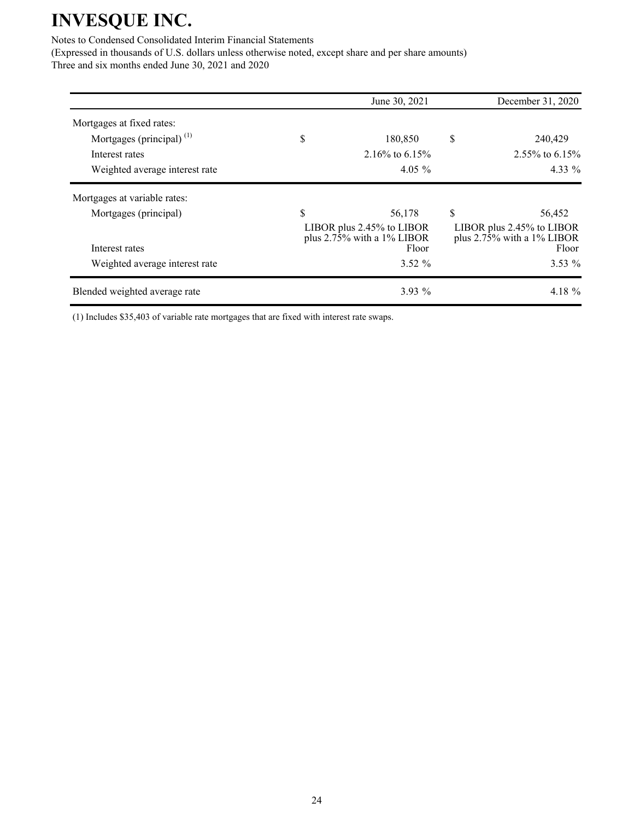### Notes to Condensed Consolidated Interim Financial Statements

(Expressed in thousands of U.S. dollars unless otherwise noted, except share and per share amounts) Three and six months ended June 30, 2021 and 2020

|                                | June 30, 2021                                                       |                                                                                | December 31, 2020 |  |
|--------------------------------|---------------------------------------------------------------------|--------------------------------------------------------------------------------|-------------------|--|
| Mortgages at fixed rates:      |                                                                     |                                                                                |                   |  |
| Mortgages (principal) $(1)$    | \$<br>180,850                                                       | \$                                                                             | 240,429           |  |
| Interest rates                 | 2.16\% to 6.15\%                                                    |                                                                                | 2.55% to $6.15%$  |  |
| Weighted average interest rate | 4.05 $%$                                                            |                                                                                | 4.33 %            |  |
| Mortgages at variable rates:   |                                                                     |                                                                                |                   |  |
| Mortgages (principal)          | \$<br>56,178                                                        | \$                                                                             | 56,452            |  |
| Interest rates                 | LIBOR plus 2.45% to LIBOR<br>plus $2.75\%$ with a 1% LIBOR<br>Floor | LIBOR plus 2.45% to LIBOR<br>plus $2.7\overline{5}\%$ with a 1% LIBOR<br>Floor |                   |  |
| Weighted average interest rate | $3.52 \%$                                                           |                                                                                | $3.53\%$          |  |
| Blended weighted average rate  | $3.93\%$                                                            |                                                                                | 4.18 %            |  |

(1) Includes \$35,403 of variable rate mortgages that are fixed with interest rate swaps.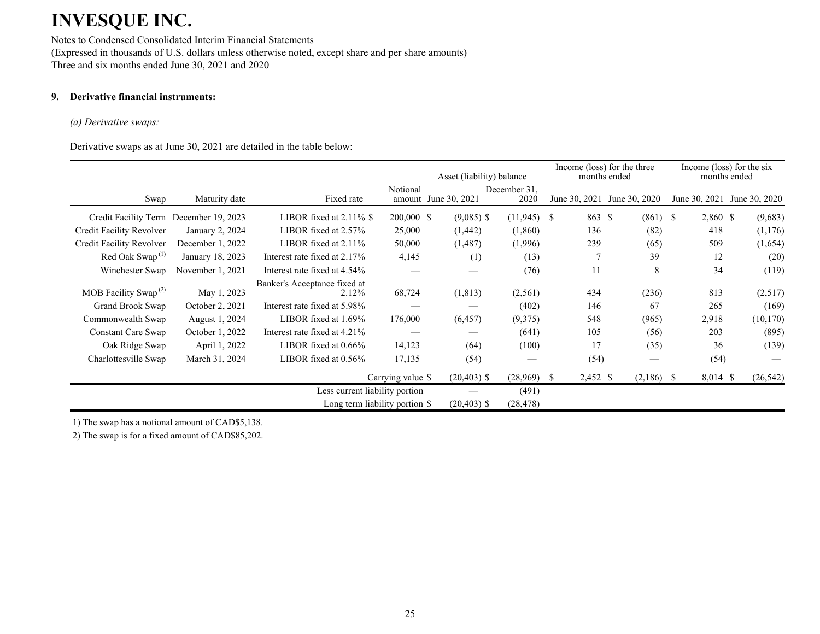Notes to Condensed Consolidated Interim Financial Statements (Expressed in thousands of U.S. dollars unless otherwise noted, except share and per share amounts) Three and six months ended June 30, 2021 and 2020

## **9. Derivative financial instruments:**

#### *(a) Derivative swaps:*

Derivative swaps as at June 30, 2021 are detailed in the table below:

|                                               |                  |                                       |                    |                | Income (loss) for the three<br>Asset (liability) balance<br>months ended |                |                             | Income (loss) for the six<br>months ended |               |  |
|-----------------------------------------------|------------------|---------------------------------------|--------------------|----------------|--------------------------------------------------------------------------|----------------|-----------------------------|-------------------------------------------|---------------|--|
| Swap                                          | Maturity date    | Fixed rate                            | Notional<br>amount | June 30, 2021  | December 31,<br>2020                                                     |                | June 30, 2021 June 30, 2020 | June 30, 2021                             | June 30, 2020 |  |
| Credit Facility Term December 19, 2023        |                  | LIBOR fixed at $2.11\%$ \$            | 200,000 \$         | $(9,085)$ \$   | $(11,945)$ \$                                                            | 863 \$         | $(861)$ \$                  | 2,860 \$                                  | (9,683)       |  |
| Credit Facility Revolver                      | January 2, 2024  | LIBOR fixed at 2.57%                  | 25,000             | (1, 442)       | (1,860)                                                                  | 136            | (82)                        | 418                                       | (1,176)       |  |
| Credit Facility Revolver                      | December 1, 2022 | LIBOR fixed at 2.11%                  | 50,000             | (1,487)        | (1,996)                                                                  | 239            | (65)                        | 509                                       | (1,654)       |  |
| Red Oak Swap <sup><math>(1)</math></sup>      | January 18, 2023 | Interest rate fixed at 2.17%          | 4,145              | (1)            | (13)                                                                     |                | 39                          | 12                                        | (20)          |  |
| Winchester Swap                               | November 1, 2021 | Interest rate fixed at 4.54%          |                    |                | (76)                                                                     | 11             | 8                           | 34                                        | (119)         |  |
| MOB Facility Swap <sup><math>(2)</math></sup> | May 1, 2023      | Banker's Acceptance fixed at<br>2.12% | 68,724             | (1, 813)       | (2,561)                                                                  | 434            | (236)                       | 813                                       | (2,517)       |  |
| Grand Brook Swap                              | October 2, 2021  | Interest rate fixed at 5.98%          |                    |                | (402)                                                                    | 146            | 67                          | 265                                       | (169)         |  |
| Commonwealth Swap                             | August 1, 2024   | LIBOR fixed at $1.69\%$               | 176,000            | (6, 457)       | (9,375)                                                                  | 548            | (965)                       | 2,918                                     | (10, 170)     |  |
| Constant Care Swap                            | October 1, 2022  | Interest rate fixed at 4.21%          |                    |                | (641)                                                                    | 105            | (56)                        | 203                                       | (895)         |  |
| Oak Ridge Swap                                | April 1, 2022    | LIBOR fixed at 0.66%                  | 14,123             | (64)           | (100)                                                                    | 17             | (35)                        | 36                                        | (139)         |  |
| Charlottesville Swap                          | March 31, 2024   | LIBOR fixed at $0.56\%$               | 17,135             | (54)           |                                                                          | (54)           |                             | (54)                                      |               |  |
|                                               |                  |                                       | Carrying value \$  | $(20,403)$ \$  | (28,969)                                                                 | 2,452 \$<br>-S | $(2,186)$ \$                | $8,014$ \$                                | (26, 542)     |  |
|                                               |                  | Less current liability portion        |                    |                | (491)                                                                    |                |                             |                                           |               |  |
|                                               |                  | Long term liability portion \$        |                    | $(20, 403)$ \$ | (28, 478)                                                                |                |                             |                                           |               |  |

1) The swap has a notional amount of CAD\$5,138.

2) The swap is for a fixed amount of CAD\$85,202.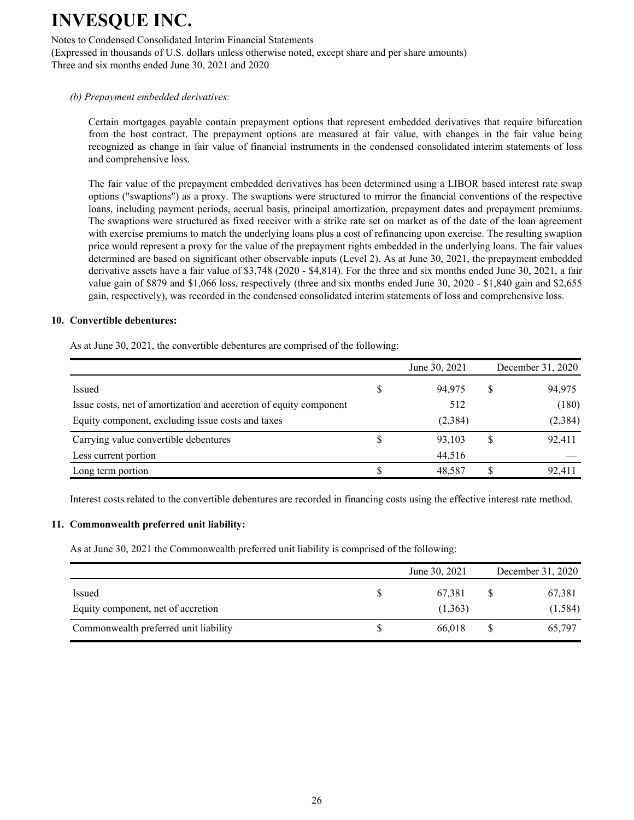Notes to Condensed Consolidated Interim Financial Statements

(Expressed in thousands of U.S. dollars unless otherwise noted, except share and per share amounts) Three and six months ended June 30, 2021 and 2020

#### *(b) Prepayment embedded derivatives:*

Certain mortgages payable contain prepayment options that represent embedded derivatives that require bifurcation from the host contract. The prepayment options are measured at fair value, with changes in the fair value being recognized as change in fair value of financial instruments in the condensed consolidated interim statements of loss and comprehensive loss.

The fair value of the prepayment embedded derivatives has been determined using a LIBOR based interest rate swap options ("swaptions") as a proxy. The swaptions were structured to mirror the financial conventions of the respective loans, including payment periods, accrual basis, principal amortization, prepayment dates and prepayment premiums. The swaptions were structured as fixed receiver with a strike rate set on market as of the date of the loan agreement with exercise premiums to match the underlying loans plus a cost of refinancing upon exercise. The resulting swaption price would represent a proxy for the value of the prepayment rights embedded in the underlying loans. The fair values determined are based on significant other observable inputs (Level 2). As at June 30, 2021, the prepayment embedded derivative assets have a fair value of \$3,748 (2020 - \$4,814). For the three and six months ended June 30, 2021, a fair value gain of \$879 and \$1,066 loss, respectively (three and six months ended June 30, 2020 - \$1,840 gain and \$2,655 gain, respectively), was recorded in the condensed consolidated interim statements of loss and comprehensive loss.

#### **10. Convertible debentures:**

As at June 30, 2021, the convertible debentures are comprised of the following:

|                                                                    | June 30, 2021 |   | December 31, 2020 |
|--------------------------------------------------------------------|---------------|---|-------------------|
| Issued                                                             | 94.975        | S | 94,975            |
| Issue costs, net of amortization and accretion of equity component | 512           |   | (180)             |
| Equity component, excluding issue costs and taxes                  | (2,384)       |   | (2, 384)          |
| Carrying value convertible debentures                              | 93,103        |   | 92,411            |
| Less current portion                                               | 44,516        |   |                   |
| Long term portion                                                  | 48,587        |   | 92,411            |

Interest costs related to the convertible debentures are recorded in financing costs using the effective interest rate method.

#### **11. Commonwealth preferred unit liability:**

As at June 30, 2021 the Commonwealth preferred unit liability is comprised of the following:

|                                              | June 30, 2021     | December 31, 2020  |
|----------------------------------------------|-------------------|--------------------|
| Issued<br>Equity component, net of accretion | 67.381<br>(1,363) | 67,381<br>(1, 584) |
| Commonwealth preferred unit liability        | 66.018            | 65,797             |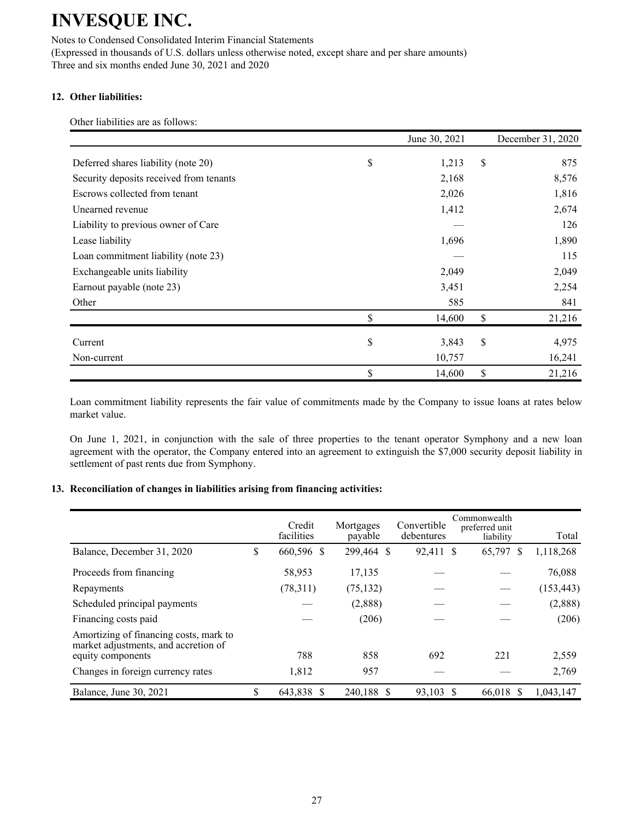Notes to Condensed Consolidated Interim Financial Statements (Expressed in thousands of U.S. dollars unless otherwise noted, except share and per share amounts) Three and six months ended June 30, 2021 and 2020

### **12. Other liabilities:**

Other liabilities are as follows:

|                                         | June 30, 2021 | December 31, 2020 |
|-----------------------------------------|---------------|-------------------|
| Deferred shares liability (note 20)     | \$<br>1,213   | \$<br>875         |
| Security deposits received from tenants | 2,168         | 8,576             |
| Escrows collected from tenant           | 2,026         | 1,816             |
| Unearned revenue                        | 1,412         | 2,674             |
| Liability to previous owner of Care     |               | 126               |
| Lease liability                         | 1,696         | 1,890             |
| Loan commitment liability (note 23)     |               | 115               |
| Exchangeable units liability            | 2,049         | 2,049             |
| Earnout payable (note 23)               | 3,451         | 2,254             |
| Other                                   | 585           | 841               |
|                                         | \$<br>14,600  | \$<br>21,216      |
| Current                                 | \$<br>3,843   | \$<br>4,975       |
| Non-current                             | 10,757        | 16,241            |
|                                         | \$<br>14,600  | \$<br>21,216      |

Loan commitment liability represents the fair value of commitments made by the Company to issue loans at rates below market value.

On June 1, 2021, in conjunction with the sale of three properties to the tenant operator Symphony and a new loan agreement with the operator, the Company entered into an agreement to extinguish the \$7,000 security deposit liability in settlement of past rents due from Symphony.

#### **13. Reconciliation of changes in liabilities arising from financing activities:**

|                                                                                | Credit<br>facilities | Mortgages<br>payable | Convertible<br>debentures | Commonwealth<br>preferred unit<br>liability | Total      |
|--------------------------------------------------------------------------------|----------------------|----------------------|---------------------------|---------------------------------------------|------------|
| Balance, December 31, 2020                                                     | \$<br>660,596 \$     | 299,464 \$           | 92,411 \$                 | 65,797 \$                                   | 1,118,268  |
| Proceeds from financing                                                        | 58,953               | 17,135               |                           |                                             | 76,088     |
| Repayments                                                                     | (78,311)             | (75, 132)            |                           |                                             | (153, 443) |
| Scheduled principal payments                                                   |                      | (2,888)              |                           |                                             | (2,888)    |
| Financing costs paid                                                           |                      | (206)                |                           |                                             | (206)      |
| Amortizing of financing costs, mark to<br>market adjustments, and accretion of |                      |                      |                           |                                             |            |
| equity components                                                              | 788                  | 858                  | 692                       | 221                                         | 2,559      |
| Changes in foreign currency rates                                              | 1,812                | 957                  |                           |                                             | 2,769      |
| Balance, June 30, 2021                                                         | 643,838 \$           | 240,188 \$           | 93,103                    | 66,018 \$<br><sup>S</sup>                   | 1,043,147  |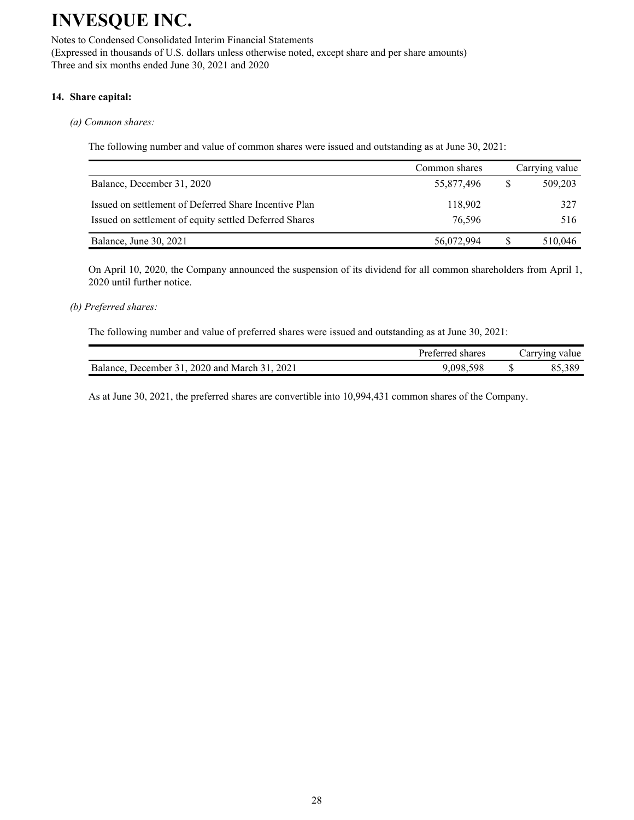Notes to Condensed Consolidated Interim Financial Statements (Expressed in thousands of U.S. dollars unless otherwise noted, except share and per share amounts) Three and six months ended June 30, 2021 and 2020

### **14. Share capital:**

#### *(a) Common shares:*

The following number and value of common shares were issued and outstanding as at June 30, 2021:

|                                                        | Common shares |   | Carrying value |
|--------------------------------------------------------|---------------|---|----------------|
| Balance, December 31, 2020                             | 55,877,496    | S | 509,203        |
| Issued on settlement of Deferred Share Incentive Plan  | 118.902       |   | 327            |
| Issued on settlement of equity settled Deferred Shares | 76.596        |   | 516            |
| Balance, June 30, 2021                                 | 56,072,994    |   | 510,046        |

On April 10, 2020, the Company announced the suspension of its dividend for all common shareholders from April 1, 2020 until further notice.

### *(b) Preferred shares:*

The following number and value of preferred shares were issued and outstanding as at June 30, 2021:

|                                               | Preferred shares | Carrying value |
|-----------------------------------------------|------------------|----------------|
| Balance, December 31, 2020 and March 31, 2021 | 9.098.598        | 85,389         |

As at June 30, 2021, the preferred shares are convertible into 10,994,431 common shares of the Company.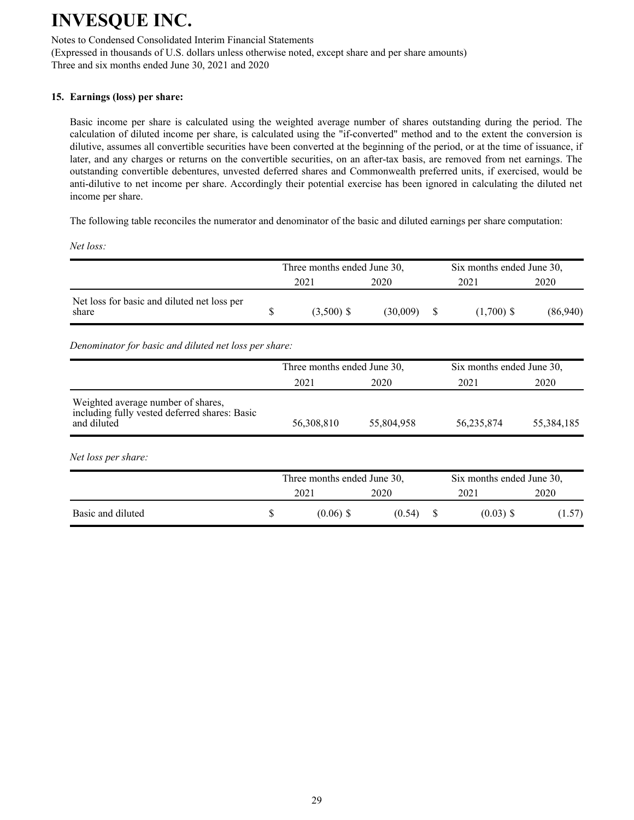Notes to Condensed Consolidated Interim Financial Statements (Expressed in thousands of U.S. dollars unless otherwise noted, except share and per share amounts)

Three and six months ended June 30, 2021 and 2020

### **15. Earnings (loss) per share:**

Basic income per share is calculated using the weighted average number of shares outstanding during the period. The calculation of diluted income per share, is calculated using the "if-converted" method and to the extent the conversion is dilutive, assumes all convertible securities have been converted at the beginning of the period, or at the time of issuance, if later, and any charges or returns on the convertible securities, on an after-tax basis, are removed from net earnings. The outstanding convertible debentures, unvested deferred shares and Commonwealth preferred units, if exercised, would be anti-dilutive to net income per share. Accordingly their potential exercise has been ignored in calculating the diluted net income per share.

The following table reconciles the numerator and denominator of the basic and diluted earnings per share computation:

*Net loss:*

|                                                      | Three months ended June 30, |          | Six months ended June 30, |              |          |  |
|------------------------------------------------------|-----------------------------|----------|---------------------------|--------------|----------|--|
|                                                      | 2021                        | 2020     | 2021                      |              | 2020     |  |
| Net loss for basic and diluted net loss per<br>share | $(3,500)$ \$                | (30.009) |                           | $(1,700)$ \$ | (86,940) |  |

*Denominator for basic and diluted net loss per share:*

|                                                                                                    |   | Three months ended June 30, |            |   | Six months ended June 30, |            |  |  |
|----------------------------------------------------------------------------------------------------|---|-----------------------------|------------|---|---------------------------|------------|--|--|
|                                                                                                    |   | 2021                        | 2020       |   | 2021                      | 2020       |  |  |
| Weighted average number of shares,<br>including fully vested deferred shares: Basic<br>and diluted |   | 56,308,810                  | 55,804,958 |   | 56,235,874                | 55,384,185 |  |  |
| Net loss per share:                                                                                |   |                             |            |   |                           |            |  |  |
|                                                                                                    |   | Three months ended June 30, |            |   | Six months ended June 30, |            |  |  |
|                                                                                                    |   | 2021                        | 2020       |   | 2021                      | 2020       |  |  |
| Basic and diluted                                                                                  | S | $(0.06)$ \$                 | (0.54)     | S | $(0.03)$ \$               | (1.57)     |  |  |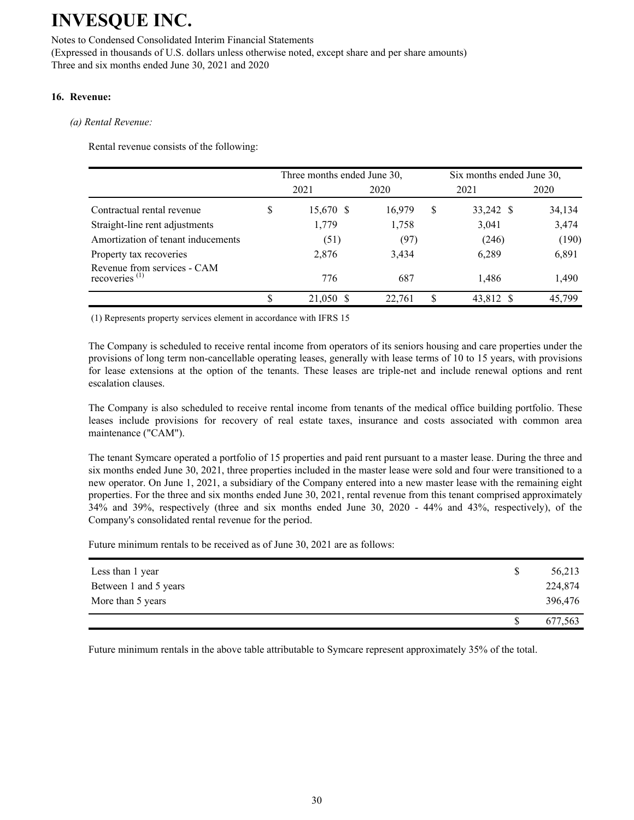#### Notes to Condensed Consolidated Interim Financial Statements (Expressed in thousands of U.S. dollars unless otherwise noted, except share and per share amounts) Three and six months ended June 30, 2021 and 2020

### **16. Revenue:**

### *(a) Rental Revenue:*

Rental revenue consists of the following:

|                                                 |   | Three months ended June 30, |        |   | Six months ended June 30, |        |  |  |
|-------------------------------------------------|---|-----------------------------|--------|---|---------------------------|--------|--|--|
|                                                 |   | 2021                        | 2020   |   | 2021                      | 2020   |  |  |
| Contractual rental revenue                      | S | 15,670 \$                   | 16,979 | S | 33,242 \$                 | 34,134 |  |  |
| Straight-line rent adjustments                  |   | 1,779                       | 1,758  |   | 3,041                     | 3,474  |  |  |
| Amortization of tenant inducements              |   | (51)                        | (97)   |   | (246)                     | (190)  |  |  |
| Property tax recoveries                         |   | 2,876                       | 3,434  |   | 6,289                     | 6,891  |  |  |
| Revenue from services - CAM<br>recoveries $(1)$ |   | 776                         | 687    |   | 1.486                     | 1,490  |  |  |
|                                                 |   | 21,050 \$                   | 22.761 | S | 43,812 \$                 | 45,799 |  |  |

(1) Represents property services element in accordance with IFRS 15

The Company is scheduled to receive rental income from operators of its seniors housing and care properties under the provisions of long term non-cancellable operating leases, generally with lease terms of 10 to 15 years, with provisions for lease extensions at the option of the tenants. These leases are triple-net and include renewal options and rent escalation clauses.

The Company is also scheduled to receive rental income from tenants of the medical office building portfolio. These leases include provisions for recovery of real estate taxes, insurance and costs associated with common area maintenance ("CAM").

The tenant Symcare operated a portfolio of 15 properties and paid rent pursuant to a master lease. During the three and six months ended June 30, 2021, three properties included in the master lease were sold and four were transitioned to a new operator. On June 1, 2021, a subsidiary of the Company entered into a new master lease with the remaining eight properties. For the three and six months ended June 30, 2021, rental revenue from this tenant comprised approximately 34% and 39%, respectively (three and six months ended June 30, 2020 - 44% and 43%, respectively), of the Company's consolidated rental revenue for the period.

Future minimum rentals to be received as of June 30, 2021 are as follows:

| Less than 1 year      | 56,213  |
|-----------------------|---------|
| Between 1 and 5 years | 224,874 |
| More than 5 years     | 396,476 |
|                       | 677,563 |

Future minimum rentals in the above table attributable to Symcare represent approximately 35% of the total.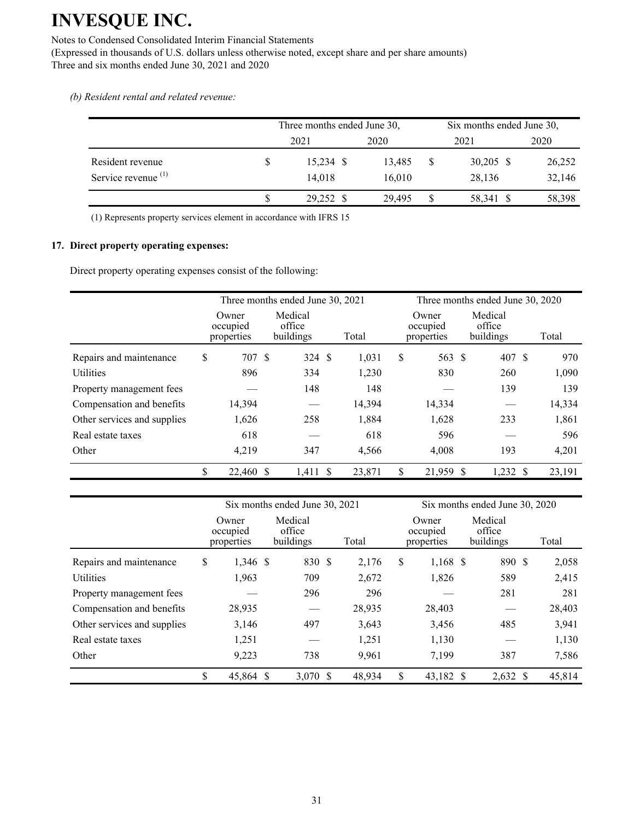#### Notes to Condensed Consolidated Interim Financial Statements

(Expressed in thousands of U.S. dollars unless otherwise noted, except share and per share amounts) Three and six months ended June 30, 2021 and 2020

*(b) Resident rental and related revenue:*

|                                |              | Three months ended June 30, |        | Six months ended June 30, |             |        |  |
|--------------------------------|--------------|-----------------------------|--------|---------------------------|-------------|--------|--|
|                                |              | 2021                        | 2020   |                           | 2021        | 2020   |  |
| Resident revenue               | <sup>S</sup> | $15,234$ \$                 | 13.485 | \$                        | $30,205$ \$ | 26,252 |  |
| Service revenue <sup>(1)</sup> |              | 14.018                      | 16,010 |                           | 28,136      | 32,146 |  |
|                                |              | 29,252 \$                   | 29.495 | \$                        | 58,341 \$   | 58,398 |  |

(1) Represents property services element in accordance with IFRS 15

### **17. Direct property operating expenses:**

Direct property operating expenses consist of the following:

|                             | Three months ended June 30, 2021 |                                |        |        |    | Three months ended June 30, 2020 |                                |  |        |  |
|-----------------------------|----------------------------------|--------------------------------|--------|--------|----|----------------------------------|--------------------------------|--|--------|--|
|                             | Owner<br>occupied<br>properties  | Medical<br>office<br>buildings |        | Total  |    | Owner<br>occupied<br>properties  | Medical<br>office<br>buildings |  | Total  |  |
| Repairs and maintenance     | \$<br>707 \$                     |                                | 324 \$ | 1,031  | \$ | 563 \$                           | 407 \$                         |  | 970    |  |
| <b>Utilities</b>            | 896                              | 334                            |        | 1,230  |    | 830                              | 260                            |  | 1,090  |  |
| Property management fees    |                                  | 148                            |        | 148    |    |                                  | 139                            |  | 139    |  |
| Compensation and benefits   | 14,394                           |                                |        | 14,394 |    | 14,334                           |                                |  | 14,334 |  |
| Other services and supplies | 1,626                            | 258                            |        | 1,884  |    | 1,628                            | 233                            |  | 1,861  |  |
| Real estate taxes           | 618                              |                                |        | 618    |    | 596                              |                                |  | 596    |  |
| Other                       | 4,219                            | 347                            |        | 4,566  |    | 4,008                            | 193                            |  | 4,201  |  |
|                             | \$<br>22,460 \$                  | $1,411$ \$                     |        | 23,871 | \$ | 21,959 \$                        | $1,232$ \$                     |  | 23,191 |  |

|                             |                                 | Six months ended June 30, 2021 |        |                                 | Six months ended June 30, 2020 |        |  |  |  |
|-----------------------------|---------------------------------|--------------------------------|--------|---------------------------------|--------------------------------|--------|--|--|--|
|                             | Owner<br>occupied<br>properties | Medical<br>office<br>buildings | Total  | Owner<br>occupied<br>properties | Medical<br>office<br>buildings | Total  |  |  |  |
| Repairs and maintenance     | \$<br>1,346 \$                  | 830 \$                         | 2,176  | \$<br>$1,168$ \$                | 890 \$                         | 2,058  |  |  |  |
| <b>Utilities</b>            | 1,963                           | 709                            | 2,672  | 1,826                           | 589                            | 2,415  |  |  |  |
| Property management fees    |                                 | 296                            |        | 296                             | 281                            | 281    |  |  |  |
| Compensation and benefits   | 28,935                          |                                | 28,935 | 28,403                          |                                | 28,403 |  |  |  |
| Other services and supplies | 3,146                           | 497                            | 3,643  | 3,456                           | 485                            | 3,941  |  |  |  |
| Real estate taxes           | 1,251                           |                                | 1,251  | 1,130                           |                                | 1,130  |  |  |  |
| Other                       | 9,223                           | 738                            | 9,961  | 7,199                           | 387                            | 7,586  |  |  |  |
|                             | \$<br>45,864 \$                 | 3,070 \$                       | 48,934 | \$<br>43,182 \$                 | $2,632$ \$                     | 45,814 |  |  |  |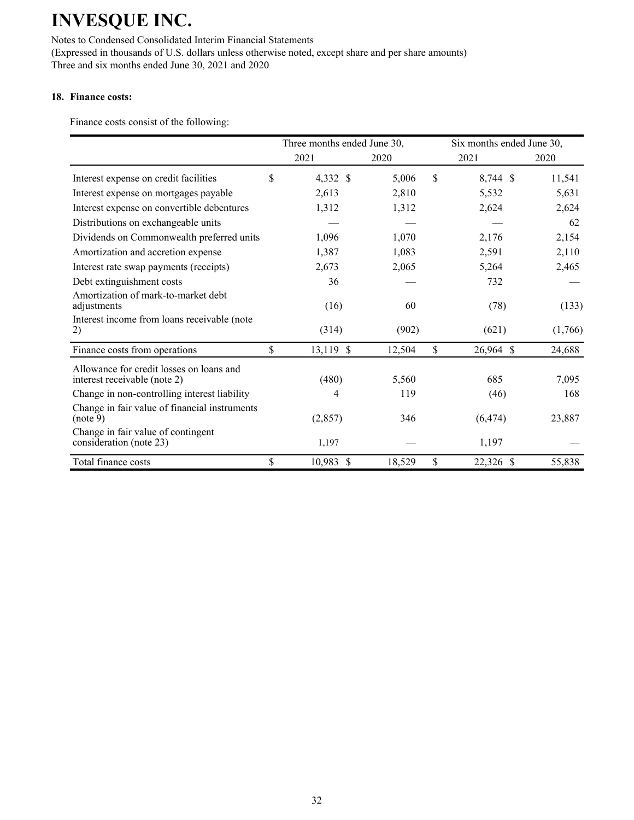Notes to Condensed Consolidated Interim Financial Statements (Expressed in thousands of U.S. dollars unless otherwise noted, except share and per share amounts) Three and six months ended June 30, 2021 and 2020

### **18. Finance costs:**

Finance costs consist of the following:

|                                                                          | Three months ended June 30, |           |        |     | Six months ended June 30, |         |  |
|--------------------------------------------------------------------------|-----------------------------|-----------|--------|-----|---------------------------|---------|--|
|                                                                          |                             | 2021      | 2020   |     | 2021                      | 2020    |  |
| Interest expense on credit facilities                                    | \$                          | 4,332 \$  | 5,006  | \$. | 8,744 \$                  | 11,541  |  |
| Interest expense on mortgages payable                                    |                             | 2,613     | 2,810  |     | 5,532                     | 5,631   |  |
| Interest expense on convertible debentures                               |                             | 1,312     | 1,312  |     | 2,624                     | 2,624   |  |
| Distributions on exchangeable units                                      |                             |           |        |     |                           | 62      |  |
| Dividends on Commonwealth preferred units                                |                             | 1,096     | 1,070  |     | 2,176                     | 2,154   |  |
| Amortization and accretion expense                                       |                             | 1,387     | 1,083  |     | 2,591                     | 2,110   |  |
| Interest rate swap payments (receipts)                                   |                             | 2,673     | 2,065  |     | 5,264                     | 2,465   |  |
| Debt extinguishment costs                                                |                             | 36        |        |     | 732                       |         |  |
| Amortization of mark-to-market debt<br>adjustments                       |                             | (16)      | 60     |     | (78)                      | (133)   |  |
| Interest income from loans receivable (note<br>2)                        |                             | (314)     | (902)  |     | (621)                     | (1,766) |  |
| Finance costs from operations                                            | \$                          | 13,119 \$ | 12,504 | \$  | 26,964 \$                 | 24,688  |  |
| Allowance for credit losses on loans and<br>interest receivable (note 2) |                             | (480)     | 5,560  |     | 685                       | 7,095   |  |
| Change in non-controlling interest liability                             |                             | 4         | 119    |     | (46)                      | 168     |  |
| Change in fair value of financial instruments<br>(note 9)                |                             | (2, 857)  | 346    |     | (6, 474)                  | 23,887  |  |
| Change in fair value of contingent<br>consideration (note 23)            |                             | 1,197     |        |     | 1,197                     |         |  |
| Total finance costs                                                      | \$                          | 10,983 \$ | 18,529 | \$  | 22,326 \$                 | 55,838  |  |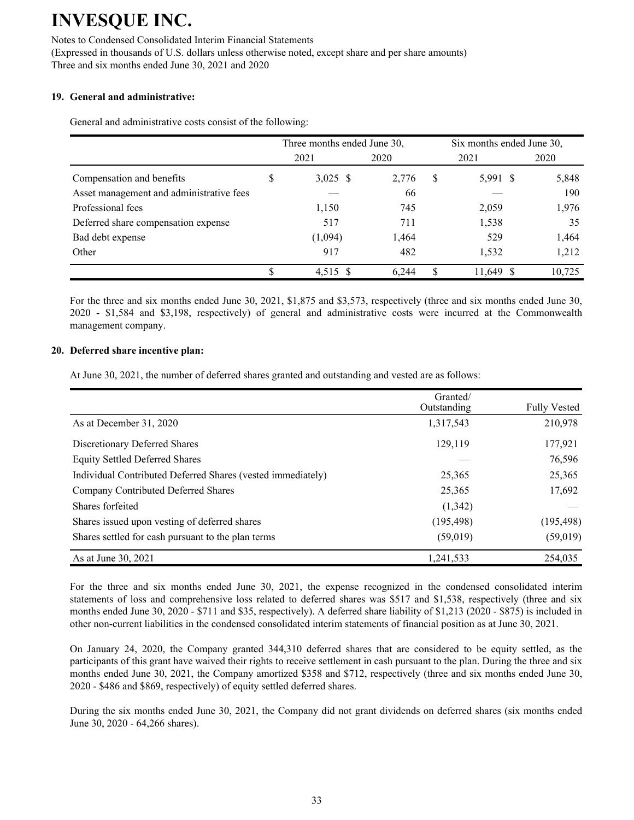#### Notes to Condensed Consolidated Interim Financial Statements

(Expressed in thousands of U.S. dollars unless otherwise noted, except share and per share amounts) Three and six months ended June 30, 2021 and 2020

#### **19. General and administrative:**

General and administrative costs consist of the following:

|                                          |   | Three months ended June 30, |       | Six months ended June 30, |           |        |  |
|------------------------------------------|---|-----------------------------|-------|---------------------------|-----------|--------|--|
|                                          |   | 2021                        | 2020  |                           | 2021      | 2020   |  |
| Compensation and benefits                | S | $3,025$ \$                  | 2,776 | \$                        | 5,991 \$  | 5,848  |  |
| Asset management and administrative fees |   |                             | 66    |                           |           | 190    |  |
| Professional fees                        |   | 1,150                       | 745   |                           | 2,059     | 1,976  |  |
| Deferred share compensation expense      |   | 517                         | 711   |                           | 1,538     | 35     |  |
| Bad debt expense                         |   | (1,094)                     | 1,464 |                           | 529       | 1,464  |  |
| Other                                    |   | 917                         | 482   |                           | 1,532     | 1,212  |  |
|                                          |   | 4,515 \$                    | 6.244 |                           | 11,649 \$ | 10,725 |  |

For the three and six months ended June 30, 2021, \$1,875 and \$3,573, respectively (three and six months ended June 30, 2020 - \$1,584 and \$3,198, respectively) of general and administrative costs were incurred at the Commonwealth management company.

#### **20. Deferred share incentive plan:**

At June 30, 2021, the number of deferred shares granted and outstanding and vested are as follows:

|                                                             | Granted/<br>Outstanding | <b>Fully Vested</b> |
|-------------------------------------------------------------|-------------------------|---------------------|
| As at December 31, 2020                                     | 1,317,543               | 210,978             |
| Discretionary Deferred Shares                               | 129.119                 | 177,921             |
| <b>Equity Settled Deferred Shares</b>                       |                         | 76,596              |
| Individual Contributed Deferred Shares (vested immediately) | 25,365                  | 25,365              |
| Company Contributed Deferred Shares                         | 25,365                  | 17,692              |
| Shares forfeited                                            | (1,342)                 |                     |
| Shares issued upon vesting of deferred shares               | (195, 498)              | (195, 498)          |
| Shares settled for cash pursuant to the plan terms          | (59, 019)               | (59, 019)           |
| As at June 30, 2021                                         | 1,241,533               | 254,035             |

For the three and six months ended June 30, 2021, the expense recognized in the condensed consolidated interim statements of loss and comprehensive loss related to deferred shares was \$517 and \$1,538, respectively (three and six months ended June 30, 2020 - \$711 and \$35, respectively). A deferred share liability of \$1,213 (2020 - \$875) is included in other non-current liabilities in the condensed consolidated interim statements of financial position as at June 30, 2021.

On January 24, 2020, the Company granted 344,310 deferred shares that are considered to be equity settled, as the participants of this grant have waived their rights to receive settlement in cash pursuant to the plan. During the three and six months ended June 30, 2021, the Company amortized \$358 and \$712, respectively (three and six months ended June 30, 2020 - \$486 and \$869, respectively) of equity settled deferred shares.

During the six months ended June 30, 2021, the Company did not grant dividends on deferred shares (six months ended June 30, 2020 - 64,266 shares).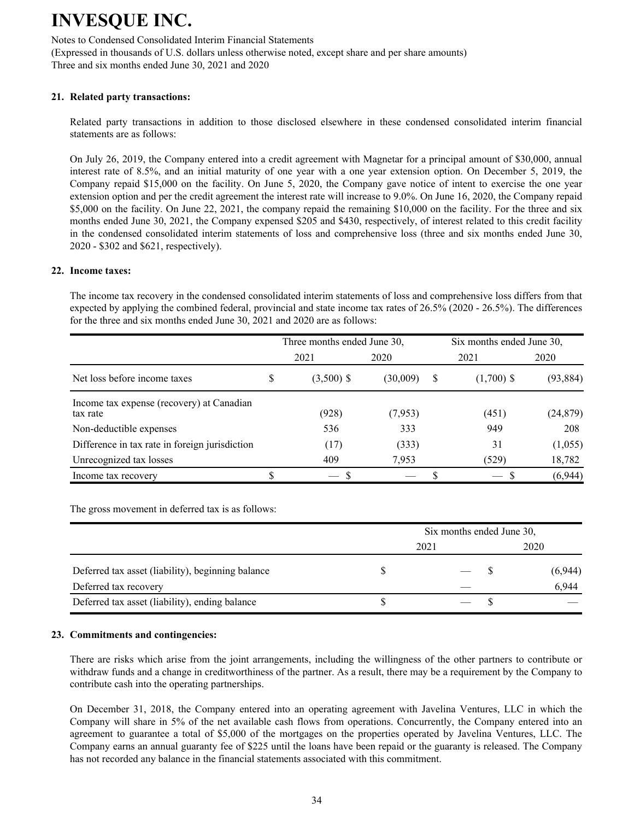Notes to Condensed Consolidated Interim Financial Statements (Expressed in thousands of U.S. dollars unless otherwise noted, except share and per share amounts) Three and six months ended June 30, 2021 and 2020

### **21. Related party transactions:**

Related party transactions in addition to those disclosed elsewhere in these condensed consolidated interim financial statements are as follows:

On July 26, 2019, the Company entered into a credit agreement with Magnetar for a principal amount of \$30,000, annual interest rate of 8.5%, and an initial maturity of one year with a one year extension option. On December 5, 2019, the Company repaid \$15,000 on the facility. On June 5, 2020, the Company gave notice of intent to exercise the one year extension option and per the credit agreement the interest rate will increase to 9.0%. On June 16, 2020, the Company repaid \$5,000 on the facility. On June 22, 2021, the company repaid the remaining \$10,000 on the facility. For the three and six months ended June 30, 2021, the Company expensed \$205 and \$430, respectively, of interest related to this credit facility in the condensed consolidated interim statements of loss and comprehensive loss (three and six months ended June 30, 2020 - \$302 and \$621, respectively).

#### **22. Income taxes:**

The income tax recovery in the condensed consolidated interim statements of loss and comprehensive loss differs from that expected by applying the combined federal, provincial and state income tax rates of 26.5% (2020 - 26.5%). The differences for the three and six months ended June 30, 2021 and 2020 are as follows:

|                                                       |   | Three months ended June 30, |          |   | Six months ended June 30, |           |  |  |
|-------------------------------------------------------|---|-----------------------------|----------|---|---------------------------|-----------|--|--|
|                                                       |   | 2021                        | 2020     |   | 2021                      | 2020      |  |  |
| Net loss before income taxes                          | S | $(3,500)$ \$                | (30,009) | S | $(1,700)$ \$              | (93, 884) |  |  |
| Income tax expense (recovery) at Canadian<br>tax rate |   | (928)                       | (7,953)  |   | (451)                     | (24, 879) |  |  |
| Non-deductible expenses                               |   | 536                         | 333      |   | 949                       | 208       |  |  |
| Difference in tax rate in foreign jurisdiction        |   | (17)                        | (333)    |   | 31                        | (1,055)   |  |  |
| Unrecognized tax losses                               |   | 409                         | 7,953    |   | (529)                     | 18,782    |  |  |
| Income tax recovery                                   |   |                             |          |   |                           | (6,944)   |  |  |

The gross movement in deferred tax is as follows:

|                                                   | Six months ended June 30, |         |  |  |  |  |  |  |
|---------------------------------------------------|---------------------------|---------|--|--|--|--|--|--|
|                                                   | 2021                      | 2020    |  |  |  |  |  |  |
| Deferred tax asset (liability), beginning balance |                           | (6,944) |  |  |  |  |  |  |
| Deferred tax recovery                             |                           | 6,944   |  |  |  |  |  |  |
| Deferred tax asset (liability), ending balance    |                           |         |  |  |  |  |  |  |

#### **23. Commitments and contingencies:**

There are risks which arise from the joint arrangements, including the willingness of the other partners to contribute or withdraw funds and a change in creditworthiness of the partner. As a result, there may be a requirement by the Company to contribute cash into the operating partnerships.

On December 31, 2018, the Company entered into an operating agreement with Javelina Ventures, LLC in which the Company will share in 5% of the net available cash flows from operations. Concurrently, the Company entered into an agreement to guarantee a total of \$5,000 of the mortgages on the properties operated by Javelina Ventures, LLC. The Company earns an annual guaranty fee of \$225 until the loans have been repaid or the guaranty is released. The Company has not recorded any balance in the financial statements associated with this commitment.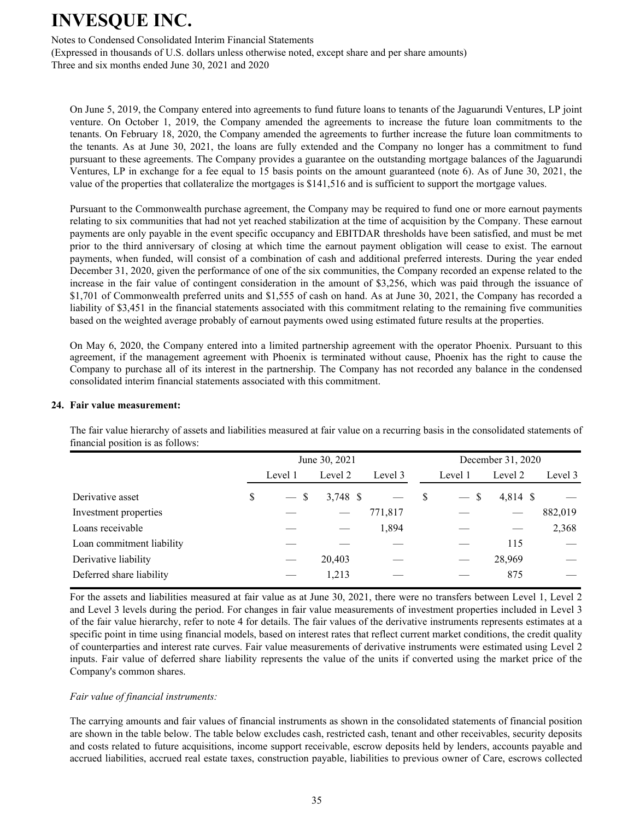Notes to Condensed Consolidated Interim Financial Statements (Expressed in thousands of U.S. dollars unless otherwise noted, except share and per share amounts) Three and six months ended June 30, 2021 and 2020

On June 5, 2019, the Company entered into agreements to fund future loans to tenants of the Jaguarundi Ventures, LP joint venture. On October 1, 2019, the Company amended the agreements to increase the future loan commitments to the tenants. On February 18, 2020, the Company amended the agreements to further increase the future loan commitments to the tenants. As at June 30, 2021, the loans are fully extended and the Company no longer has a commitment to fund pursuant to these agreements. The Company provides a guarantee on the outstanding mortgage balances of the Jaguarundi Ventures, LP in exchange for a fee equal to 15 basis points on the amount guaranteed (note 6). As of June 30, 2021, the value of the properties that collateralize the mortgages is \$141,516 and is sufficient to support the mortgage values.

Pursuant to the Commonwealth purchase agreement, the Company may be required to fund one or more earnout payments relating to six communities that had not yet reached stabilization at the time of acquisition by the Company. These earnout payments are only payable in the event specific occupancy and EBITDAR thresholds have been satisfied, and must be met prior to the third anniversary of closing at which time the earnout payment obligation will cease to exist. The earnout payments, when funded, will consist of a combination of cash and additional preferred interests. During the year ended December 31, 2020, given the performance of one of the six communities, the Company recorded an expense related to the increase in the fair value of contingent consideration in the amount of \$3,256, which was paid through the issuance of \$1,701 of Commonwealth preferred units and \$1,555 of cash on hand. As at June 30, 2021, the Company has recorded a liability of \$3,451 in the financial statements associated with this commitment relating to the remaining five communities based on the weighted average probably of earnout payments owed using estimated future results at the properties.

On May 6, 2020, the Company entered into a limited partnership agreement with the operator Phoenix. Pursuant to this agreement, if the management agreement with Phoenix is terminated without cause, Phoenix has the right to cause the Company to purchase all of its interest in the partnership. The Company has not recorded any balance in the condensed consolidated interim financial statements associated with this commitment.

#### **24. Fair value measurement:**

The fair value hierarchy of assets and liabilities measured at fair value on a recurring basis in the consolidated statements of financial position is as follows:

|                           |              | June 30, 2021 |         |               | December 31, 2020 |            |         |
|---------------------------|--------------|---------------|---------|---------------|-------------------|------------|---------|
|                           | Level 1      | Level 2       | Level 3 |               | Level 1           | Level 2    | Level 3 |
| Derivative asset          | \$<br>$-$ \$ | $3,748$ \$    |         | <sup>\$</sup> | $-$ \$            | $4,814$ \$ |         |
| Investment properties     |              |               | 771,817 |               |                   |            | 882,019 |
| Loans receivable          |              |               | 1,894   |               |                   |            | 2,368   |
| Loan commitment liability |              |               |         |               |                   | 115        |         |
| Derivative liability      |              | 20,403        |         |               |                   | 28,969     |         |
| Deferred share liability  |              | 1,213         |         |               |                   | 875        |         |

 For the assets and liabilities measured at fair value as at June 30, 2021, there were no transfers between Level 1, Level 2 and Level 3 levels during the period. For changes in fair value measurements of investment properties included in Level 3 of the fair value hierarchy, refer to note 4 for details. The fair values of the derivative instruments represents estimates at a specific point in time using financial models, based on interest rates that reflect current market conditions, the credit quality of counterparties and interest rate curves. Fair value measurements of derivative instruments were estimated using Level 2 inputs. Fair value of deferred share liability represents the value of the units if converted using the market price of the Company's common shares.

#### *Fair value of financial instruments:*

The carrying amounts and fair values of financial instruments as shown in the consolidated statements of financial position are shown in the table below. The table below excludes cash, restricted cash, tenant and other receivables, security deposits and costs related to future acquisitions, income support receivable, escrow deposits held by lenders, accounts payable and accrued liabilities, accrued real estate taxes, construction payable, liabilities to previous owner of Care, escrows collected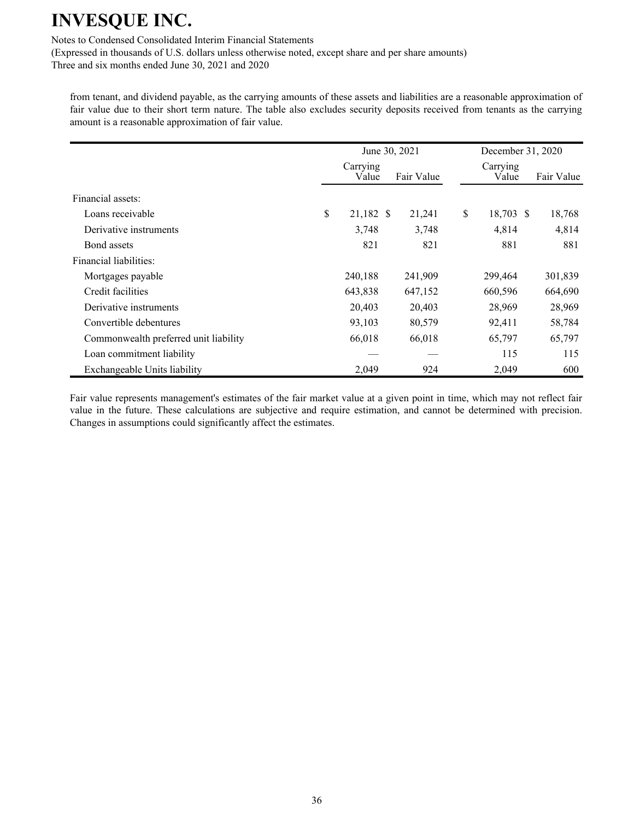Notes to Condensed Consolidated Interim Financial Statements

(Expressed in thousands of U.S. dollars unless otherwise noted, except share and per share amounts)

Three and six months ended June 30, 2021 and 2020

from tenant, and dividend payable, as the carrying amounts of these assets and liabilities are a reasonable approximation of fair value due to their short term nature. The table also excludes security deposits received from tenants as the carrying amount is a reasonable approximation of fair value.

|                                       |                   | June 30, 2021 | December 31, 2020 |            |
|---------------------------------------|-------------------|---------------|-------------------|------------|
|                                       | Carrying<br>Value | Fair Value    | Carrying<br>Value | Fair Value |
| Financial assets:                     |                   |               |                   |            |
| Loans receivable                      | \$<br>21,182 \$   | 21,241        | \$<br>18,703 \$   | 18,768     |
| Derivative instruments                | 3,748             | 3,748         | 4,814             | 4,814      |
| Bond assets                           | 821               | 821           | 881               | 881        |
| Financial liabilities:                |                   |               |                   |            |
| Mortgages payable                     | 240,188           | 241,909       | 299,464           | 301,839    |
| Credit facilities                     | 643,838           | 647,152       | 660,596           | 664,690    |
| Derivative instruments                | 20,403            | 20,403        | 28,969            | 28,969     |
| Convertible debentures                | 93,103            | 80,579        | 92,411            | 58,784     |
| Commonwealth preferred unit liability | 66,018            | 66,018        | 65,797            | 65,797     |
| Loan commitment liability             |                   |               | 115               | 115        |
| Exchangeable Units liability          | 2,049             | 924           | 2,049             | 600        |

Fair value represents management's estimates of the fair market value at a given point in time, which may not reflect fair value in the future. These calculations are subjective and require estimation, and cannot be determined with precision. Changes in assumptions could significantly affect the estimates.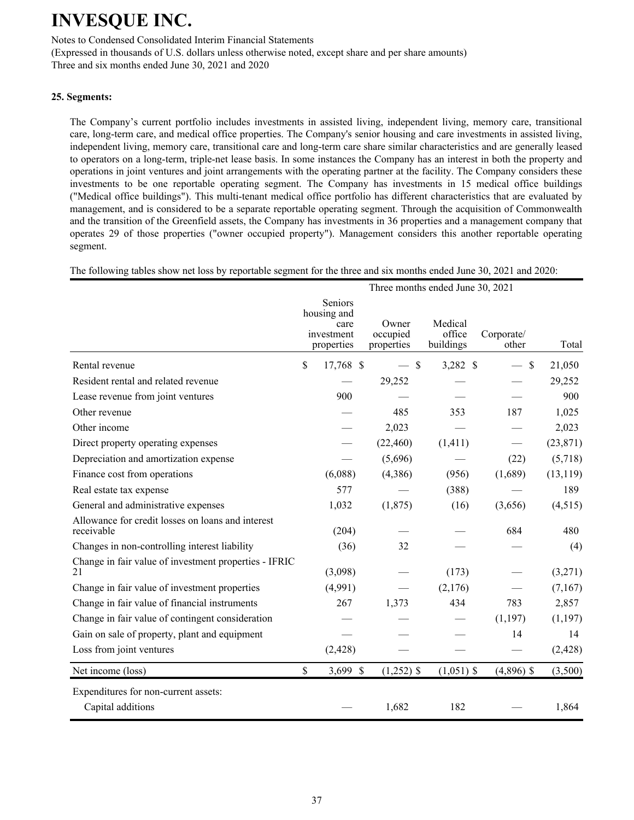Notes to Condensed Consolidated Interim Financial Statements (Expressed in thousands of U.S. dollars unless otherwise noted, except share and per share amounts) Three and six months ended June 30, 2021 and 2020

### **25. Segments:**

The Company's current portfolio includes investments in assisted living, independent living, memory care, transitional care, long-term care, and medical office properties. The Company's senior housing and care investments in assisted living, independent living, memory care, transitional care and long-term care share similar characteristics and are generally leased to operators on a long-term, triple-net lease basis. In some instances the Company has an interest in both the property and operations in joint ventures and joint arrangements with the operating partner at the facility. The Company considers these investments to be one reportable operating segment. The Company has investments in 15 medical office buildings ("Medical office buildings"). This multi-tenant medical office portfolio has different characteristics that are evaluated by management, and is considered to be a separate reportable operating segment. Through the acquisition of Commonwealth and the transition of the Greenfield assets, the Company has investments in 36 properties and a management company that operates 29 of those properties ("owner occupied property"). Management considers this another reportable operating segment.

The following tables show net loss by reportable segment for the three and six months ended June 30, 2021 and 2020:

|                                                                 |                                                            |                                 | Three months ended June 30, 2021 |                                |           |
|-----------------------------------------------------------------|------------------------------------------------------------|---------------------------------|----------------------------------|--------------------------------|-----------|
|                                                                 | Seniors<br>housing and<br>care<br>investment<br>properties | Owner<br>occupied<br>properties | Medical<br>office<br>buildings   | Corporate/<br>other            | Total     |
| Rental revenue                                                  | \$<br>17,768 \$                                            | $-$ \$                          | 3,282 \$                         | $\mathsf{\$}$<br>$\frac{1}{2}$ | 21,050    |
| Resident rental and related revenue                             |                                                            | 29,252                          |                                  |                                | 29,252    |
| Lease revenue from joint ventures                               | 900                                                        |                                 |                                  |                                | 900       |
| Other revenue                                                   |                                                            | 485                             | 353                              | 187                            | 1,025     |
| Other income                                                    |                                                            | 2,023                           |                                  |                                | 2,023     |
| Direct property operating expenses                              |                                                            | (22, 460)                       | (1, 411)                         |                                | (23, 871) |
| Depreciation and amortization expense                           |                                                            | (5,696)                         |                                  | (22)                           | (5,718)   |
| Finance cost from operations                                    | (6,088)                                                    | (4,386)                         | (956)                            | (1,689)                        | (13, 119) |
| Real estate tax expense                                         | 577                                                        |                                 | (388)                            |                                | 189       |
| General and administrative expenses                             | 1,032                                                      | (1, 875)                        | (16)                             | (3,656)                        | (4,515)   |
| Allowance for credit losses on loans and interest<br>receivable | (204)                                                      |                                 |                                  | 684                            | 480       |
| Changes in non-controlling interest liability                   | (36)                                                       | 32                              |                                  |                                | (4)       |
| Change in fair value of investment properties - IFRIC<br>21     | (3,098)                                                    |                                 | (173)                            |                                | (3,271)   |
| Change in fair value of investment properties                   | (4,991)                                                    |                                 | (2,176)                          |                                | (7,167)   |
| Change in fair value of financial instruments                   | 267                                                        | 1,373                           | 434                              | 783                            | 2,857     |
| Change in fair value of contingent consideration                |                                                            |                                 |                                  | (1, 197)                       | (1, 197)  |
| Gain on sale of property, plant and equipment                   |                                                            |                                 |                                  | 14                             | 14        |
| Loss from joint ventures                                        | (2, 428)                                                   |                                 |                                  |                                | (2, 428)  |
| Net income (loss)                                               | \$<br>3,699 \$                                             | $(1,252)$ \$                    | $(1,051)$ \$                     | $(4,896)$ \$                   | (3,500)   |
| Expenditures for non-current assets:<br>Capital additions       |                                                            | 1,682                           | 182                              |                                | 1,864     |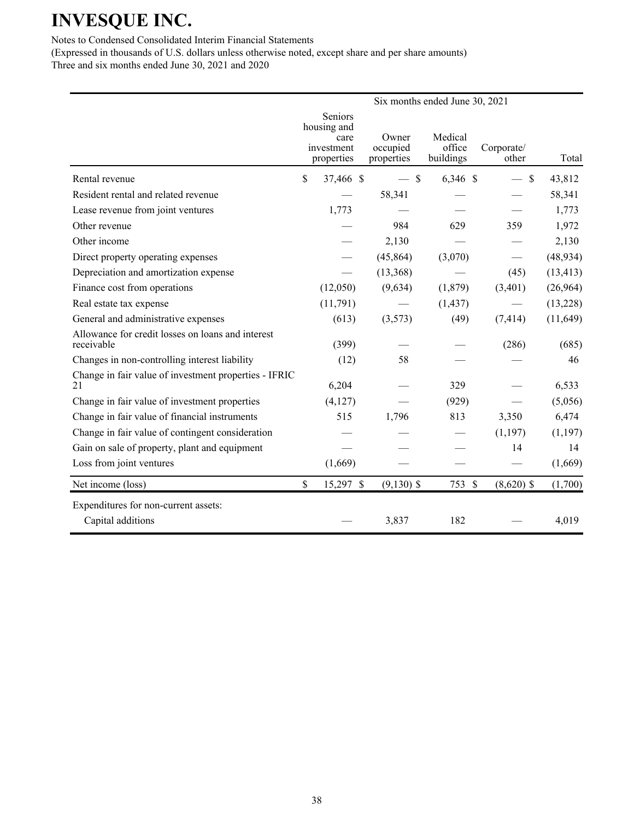## Notes to Condensed Consolidated Interim Financial Statements

|                                                                 |                                                            |                                 | Six months ended June 30, 2021 |                     |           |
|-----------------------------------------------------------------|------------------------------------------------------------|---------------------------------|--------------------------------|---------------------|-----------|
|                                                                 | Seniors<br>housing and<br>care<br>investment<br>properties | Owner<br>occupied<br>properties | Medical<br>office<br>buildings | Corporate/<br>other | Total     |
| Rental revenue                                                  | \$<br>37,466 \$                                            | $-$ \$                          | $6,346$ \$                     | $\mathcal{S}$       | 43,812    |
| Resident rental and related revenue                             |                                                            | 58,341                          |                                |                     | 58,341    |
| Lease revenue from joint ventures                               | 1,773                                                      |                                 |                                |                     | 1,773     |
| Other revenue                                                   |                                                            | 984                             | 629                            | 359                 | 1,972     |
| Other income                                                    |                                                            | 2,130                           |                                |                     | 2,130     |
| Direct property operating expenses                              |                                                            | (45, 864)                       | (3,070)                        |                     | (48, 934) |
| Depreciation and amortization expense                           |                                                            | (13,368)                        |                                | (45)                | (13, 413) |
| Finance cost from operations                                    | (12,050)                                                   | (9,634)                         | (1, 879)                       | (3,401)             | (26,964)  |
| Real estate tax expense                                         | (11,791)                                                   |                                 | (1, 437)                       |                     | (13,228)  |
| General and administrative expenses                             | (613)                                                      | (3,573)                         | (49)                           | (7, 414)            | (11, 649) |
| Allowance for credit losses on loans and interest<br>receivable | (399)                                                      |                                 |                                | (286)               | (685)     |
| Changes in non-controlling interest liability                   | (12)                                                       | 58                              |                                |                     | 46        |
| Change in fair value of investment properties - IFRIC<br>21     | 6,204                                                      |                                 | 329                            |                     | 6,533     |
| Change in fair value of investment properties                   | (4,127)                                                    |                                 | (929)                          |                     | (5,056)   |
| Change in fair value of financial instruments                   | 515                                                        | 1,796                           | 813                            | 3,350               | 6,474     |
| Change in fair value of contingent consideration                |                                                            |                                 |                                | (1, 197)            | (1, 197)  |
| Gain on sale of property, plant and equipment                   |                                                            |                                 |                                | 14                  | 14        |
| Loss from joint ventures                                        | (1,669)                                                    |                                 |                                |                     | (1,669)   |
| Net income (loss)                                               | \$<br>15,297 \$                                            | $(9,130)$ \$                    | 753 \$                         | $(8,620)$ \$        | (1,700)   |
| Expenditures for non-current assets:<br>Capital additions       |                                                            | 3,837                           | 182                            |                     | 4,019     |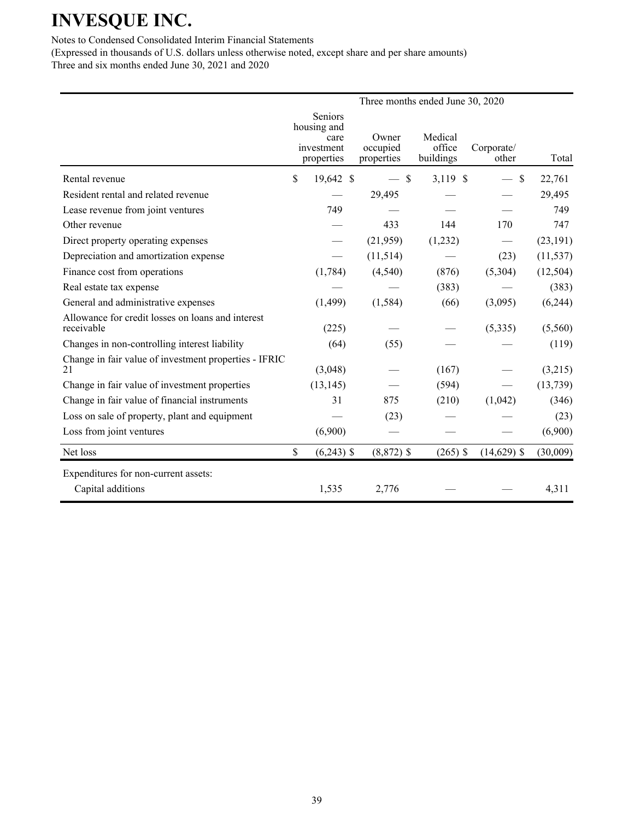Notes to Condensed Consolidated Interim Financial Statements

|                                                                 |                                                                   | Three months ended June 30, 2020 |                                |                     |           |
|-----------------------------------------------------------------|-------------------------------------------------------------------|----------------------------------|--------------------------------|---------------------|-----------|
|                                                                 | <b>Seniors</b><br>housing and<br>care<br>investment<br>properties | Owner<br>occupied<br>properties  | Medical<br>office<br>buildings | Corporate/<br>other | Total     |
| Rental revenue                                                  | \$<br>19,642 \$                                                   | $\mathbb{S}$                     | 3,119 \$                       | \$                  | 22,761    |
| Resident rental and related revenue                             |                                                                   | 29,495                           |                                |                     | 29,495    |
| Lease revenue from joint ventures                               | 749                                                               |                                  |                                |                     | 749       |
| Other revenue                                                   |                                                                   | 433                              | 144                            | 170                 | 747       |
| Direct property operating expenses                              |                                                                   | (21,959)                         | (1,232)                        |                     | (23, 191) |
| Depreciation and amortization expense                           |                                                                   | (11, 514)                        |                                | (23)                | (11, 537) |
| Finance cost from operations                                    | (1,784)                                                           | (4,540)                          | (876)                          | (5,304)             | (12, 504) |
| Real estate tax expense                                         |                                                                   |                                  | (383)                          |                     | (383)     |
| General and administrative expenses                             | (1,499)                                                           | (1, 584)                         | (66)                           | (3,095)             | (6,244)   |
| Allowance for credit losses on loans and interest<br>receivable | (225)                                                             |                                  |                                | (5,335)             | (5,560)   |
| Changes in non-controlling interest liability                   | (64)                                                              | (55)                             |                                |                     | (119)     |
| Change in fair value of investment properties - IFRIC<br>21     | (3,048)                                                           |                                  | (167)                          |                     | (3,215)   |
| Change in fair value of investment properties                   | (13, 145)                                                         |                                  | (594)                          |                     | (13, 739) |
| Change in fair value of financial instruments                   | 31                                                                | 875                              | (210)                          | (1,042)             | (346)     |
| Loss on sale of property, plant and equipment                   |                                                                   | (23)                             |                                |                     | (23)      |
| Loss from joint ventures                                        | (6,900)                                                           |                                  |                                |                     | (6,900)   |
| Net loss                                                        | \$<br>$(6,243)$ \$                                                | $(8,872)$ \$                     | $(265)$ \$                     | $(14,629)$ \$       | (30,009)  |
| Expenditures for non-current assets:                            |                                                                   |                                  |                                |                     |           |
| Capital additions                                               | 1,535                                                             | 2,776                            |                                |                     | 4,311     |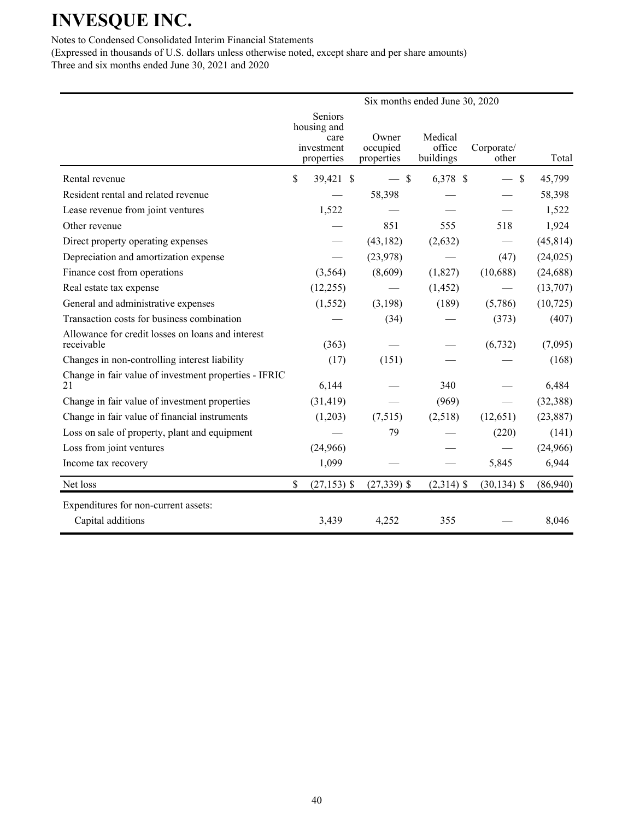Notes to Condensed Consolidated Interim Financial Statements

|                                                                 |                                                            |                                 | Six months ended June 30, 2020 |                     |           |
|-----------------------------------------------------------------|------------------------------------------------------------|---------------------------------|--------------------------------|---------------------|-----------|
|                                                                 | Seniors<br>housing and<br>care<br>investment<br>properties | Owner<br>occupied<br>properties | Medical<br>office<br>buildings | Corporate/<br>other | Total     |
| Rental revenue                                                  | \$<br>39,421 \$                                            | $-$ \$                          | 6,378 \$                       | $\mathcal{S}$       | 45,799    |
| Resident rental and related revenue                             |                                                            | 58,398                          |                                |                     | 58,398    |
| Lease revenue from joint ventures                               | 1,522                                                      |                                 |                                |                     | 1,522     |
| Other revenue                                                   |                                                            | 851                             | 555                            | 518                 | 1,924     |
| Direct property operating expenses                              |                                                            | (43, 182)                       | (2,632)                        |                     | (45, 814) |
| Depreciation and amortization expense                           |                                                            | (23,978)                        |                                | (47)                | (24, 025) |
| Finance cost from operations                                    | (3,564)                                                    | (8,609)                         | (1,827)                        | (10,688)            | (24, 688) |
| Real estate tax expense                                         | (12,255)                                                   |                                 | (1, 452)                       |                     | (13,707)  |
| General and administrative expenses                             | (1, 552)                                                   | (3,198)                         | (189)                          | (5,786)             | (10, 725) |
| Transaction costs for business combination                      |                                                            | (34)                            |                                | (373)               | (407)     |
| Allowance for credit losses on loans and interest<br>receivable | (363)                                                      |                                 |                                | (6, 732)            | (7,095)   |
| Changes in non-controlling interest liability                   | (17)                                                       | (151)                           |                                |                     | (168)     |
| Change in fair value of investment properties - IFRIC<br>21     | 6,144                                                      |                                 | 340                            |                     | 6,484     |
| Change in fair value of investment properties                   | (31, 419)                                                  |                                 | (969)                          |                     | (32, 388) |
| Change in fair value of financial instruments                   | (1,203)                                                    | (7,515)                         | (2,518)                        | (12, 651)           | (23, 887) |
| Loss on sale of property, plant and equipment                   |                                                            | 79                              |                                | (220)               | (141)     |
| Loss from joint ventures                                        | (24,966)                                                   |                                 |                                |                     | (24,966)  |
| Income tax recovery                                             | 1,099                                                      |                                 |                                | 5,845               | 6,944     |
| Net loss                                                        | \$<br>$(27, 153)$ \$                                       | $(27,339)$ \$                   | $(2,314)$ \$                   | $(30, 134)$ \$      | (86,940)  |
| Expenditures for non-current assets:<br>Capital additions       | 3,439                                                      | 4,252                           | 355                            |                     | 8,046     |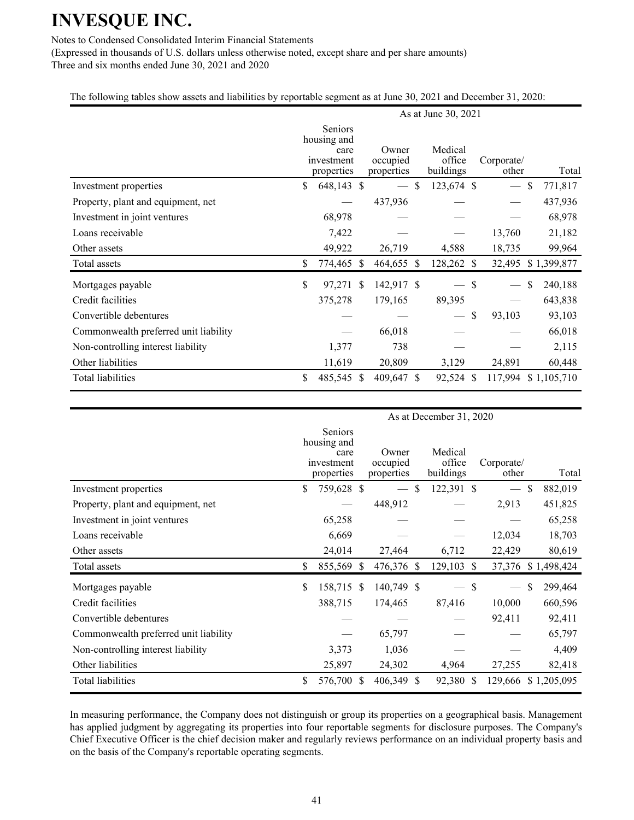## Notes to Condensed Consolidated Interim Financial Statements

(Expressed in thousands of U.S. dollars unless otherwise noted, except share and per share amounts) Three and six months ended June 30, 2021 and 2020

## The following tables show assets and liabilities by reportable segment as at June 30, 2021 and December 31, 2020:

|                                       |                                                            |                                 |               | As at June 30, 2021            |               |                          |              |             |
|---------------------------------------|------------------------------------------------------------|---------------------------------|---------------|--------------------------------|---------------|--------------------------|--------------|-------------|
|                                       | Seniors<br>housing and<br>care<br>investment<br>properties | Owner<br>occupied<br>properties |               | Medical<br>office<br>buildings |               | Corporate/<br>other      |              | Total       |
| Investment properties                 | \$<br>648,143 \$                                           |                                 | <sup>\$</sup> | 123,674 \$                     |               | $\overline{\phantom{m}}$ | $\mathbb{S}$ | 771,817     |
| Property, plant and equipment, net    |                                                            | 437,936                         |               |                                |               |                          |              | 437,936     |
| Investment in joint ventures          | 68,978                                                     |                                 |               |                                |               |                          |              | 68,978      |
| Loans receivable                      | 7,422                                                      |                                 |               |                                |               | 13,760                   |              | 21,182      |
| Other assets                          | 49,922                                                     | 26,719                          |               | 4,588                          |               | 18,735                   |              | 99,964      |
| Total assets                          | \$<br>774,465 \$                                           | 464,655 \$                      |               | 128,262                        | <sup>S</sup>  | 32,495                   |              | \$1,399,877 |
| Mortgages payable                     | \$<br>97,271 \$                                            | 142,917 \$                      |               |                                | $\mathcal{S}$ |                          | \$           | 240,188     |
| Credit facilities                     | 375,278                                                    | 179,165                         |               | 89,395                         |               |                          |              | 643,838     |
| Convertible debentures                |                                                            |                                 |               | $\qquad \qquad$                | \$            | 93,103                   |              | 93,103      |
| Commonwealth preferred unit liability |                                                            | 66,018                          |               |                                |               |                          |              | 66,018      |
| Non-controlling interest liability    | 1,377                                                      | 738                             |               |                                |               |                          |              | 2,115       |
| Other liabilities                     | 11,619                                                     | 20,809                          |               | 3,129                          |               | 24,891                   |              | 60,448      |
| <b>Total liabilities</b>              | \$<br>485,545 \$                                           | 409,647 \$                      |               | 92,524                         | <sup>S</sup>  | 117,994                  |              | \$1,105,710 |

|                                       | As at December 31, 2020 |                                                                   |    |                                 |    |                                |               |                     |               |             |  |
|---------------------------------------|-------------------------|-------------------------------------------------------------------|----|---------------------------------|----|--------------------------------|---------------|---------------------|---------------|-------------|--|
|                                       |                         | <b>Seniors</b><br>housing and<br>care<br>investment<br>properties |    | Owner<br>occupied<br>properties |    | Medical<br>office<br>buildings |               | Corporate/<br>other |               | Total       |  |
| Investment properties                 | \$                      | 759,628 \$                                                        |    |                                 | \$ | 122,391 \$                     |               |                     | \$            | 882,019     |  |
| Property, plant and equipment, net    |                         |                                                                   |    | 448,912                         |    |                                |               | 2,913               |               | 451,825     |  |
| Investment in joint ventures          |                         | 65,258                                                            |    |                                 |    |                                |               |                     |               | 65,258      |  |
| Loans receivable                      |                         | 6,669                                                             |    |                                 |    |                                |               | 12,034              |               | 18,703      |  |
| Other assets                          |                         | 24,014                                                            |    | 27,464                          |    | 6,712                          |               | 22,429              |               | 80,619      |  |
| Total assets                          | \$                      | 855,569 \$                                                        |    | 476,376 \$                      |    | 129,103                        | <sup>\$</sup> | 37,376              |               | \$1,498,424 |  |
| Mortgages payable                     | \$                      | 158,715 \$                                                        |    | 140,749 \$                      |    |                                | S             |                     | <sup>\$</sup> | 299,464     |  |
| Credit facilities                     |                         | 388,715                                                           |    | 174,465                         |    | 87,416                         |               | 10,000              |               | 660,596     |  |
| Convertible debentures                |                         |                                                                   |    |                                 |    |                                |               | 92,411              |               | 92,411      |  |
| Commonwealth preferred unit liability |                         |                                                                   |    | 65,797                          |    |                                |               |                     |               | 65,797      |  |
| Non-controlling interest liability    |                         | 3,373                                                             |    | 1,036                           |    |                                |               |                     |               | 4,409       |  |
| Other liabilities                     |                         | 25,897                                                            |    | 24,302                          |    | 4,964                          |               | 27,255              |               | 82,418      |  |
| <b>Total liabilities</b>              | \$                      | 576,700                                                           | -S | 406,349 \$                      |    | 92,380 \$                      |               | 129,666 \$1,205,095 |               |             |  |

In measuring performance, the Company does not distinguish or group its properties on a geographical basis. Management has applied judgment by aggregating its properties into four reportable segments for disclosure purposes. The Company's Chief Executive Officer is the chief decision maker and regularly reviews performance on an individual property basis and on the basis of the Company's reportable operating segments.